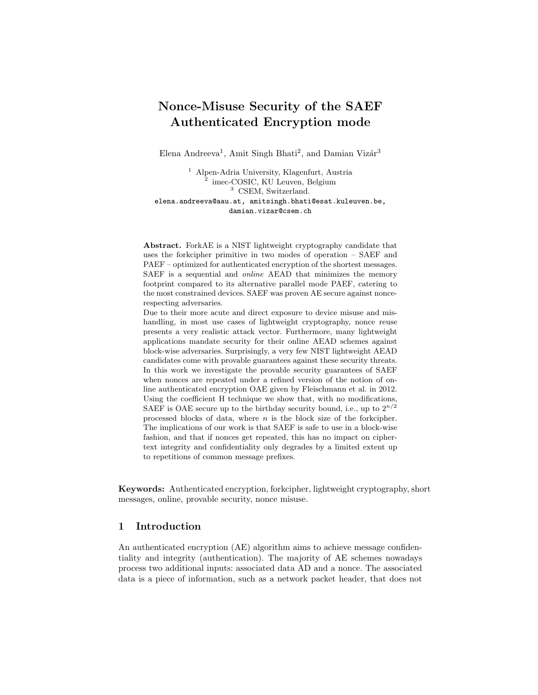# Nonce-Misuse Security of the SAEF Authenticated Encryption mode

Elena Andreeva<sup>1</sup>, Amit Singh Bhati<sup>2</sup>, and Damian Vizár<sup>3</sup>

<sup>1</sup> Alpen-Adria University, Klagenfurt, Austria 2 imec-COSIC, KU Leuven, Belgium <sup>3</sup> CSEM, Switzerland. elena.andreeva@aau.at, amitsingh.bhati@esat.kuleuven.be, damian.vizar@csem.ch

Abstract. ForkAE is a NIST lightweight cryptography candidate that uses the forkcipher primitive in two modes of operation – SAEF and PAEF – optimized for authenticated encryption of the shortest messages. SAEF is a sequential and online AEAD that minimizes the memory footprint compared to its alternative parallel mode PAEF, catering to the most constrained devices. SAEF was proven AE secure against noncerespecting adversaries.

Due to their more acute and direct exposure to device misuse and mishandling, in most use cases of lightweight cryptography, nonce reuse presents a very realistic attack vector. Furthermore, many lightweight applications mandate security for their online AEAD schemes against block-wise adversaries. Surprisingly, a very few NIST lightweight AEAD candidates come with provable guarantees against these security threats. In this work we investigate the provable security guarantees of SAEF when nonces are repeated under a refined version of the notion of online authenticated encryption OAE given by Fleischmann et al. in 2012. Using the coefficient H technique we show that, with no modifications, SAEF is OAE secure up to the birthday security bound, i.e., up to  $2^{n/2}$ processed blocks of data, where  $n$  is the block size of the forkcipher. The implications of our work is that SAEF is safe to use in a block-wise fashion, and that if nonces get repeated, this has no impact on ciphertext integrity and confidentiality only degrades by a limited extent up to repetitions of common message prefixes.

Keywords: Authenticated encryption, forkcipher, lightweight cryptography, short messages, online, provable security, nonce misuse.

# <span id="page-0-0"></span>1 Introduction

An authenticated encryption (AE) algorithm aims to achieve message confidentiality and integrity (authentication). The majority of AE schemes nowadays process two additional inputs: associated data AD and a nonce. The associated data is a piece of information, such as a network packet header, that does not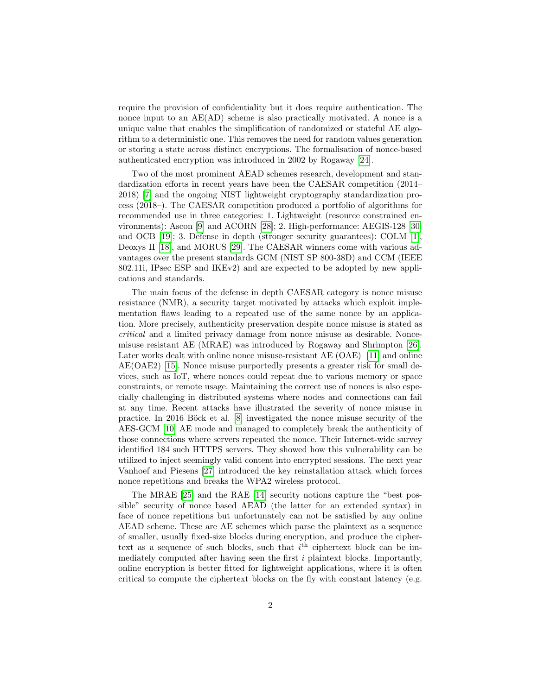require the provision of confidentiality but it does require authentication. The nonce input to an  $AE(AD)$  scheme is also practically motivated. A nonce is a unique value that enables the simplification of randomized or stateful AE algorithm to a deterministic one. This removes the need for random values generation or storing a state across distinct encryptions. The formalisation of nonce-based authenticated encryption was introduced in 2002 by Rogaway [\[24\]](#page-21-0).

Two of the most prominent AEAD schemes research, development and standardization efforts in recent years have been the CAESAR competition (2014– 2018) [\[7\]](#page-20-0) and the ongoing NIST lightweight cryptography standardization process (2018–). The CAESAR competition produced a portfolio of algorithms for recommended use in three categories: 1. Lightweight (resource constrained environments): Ascon [\[9\]](#page-20-1) and ACORN [\[28\]](#page-21-1); 2. High-performance: AEGIS-128 [\[30\]](#page-21-2) and OCB [\[19\]](#page-21-3); 3. Defense in depth (stronger security guarantees): COLM [\[1\]](#page-19-0), Deoxys II [\[18\]](#page-21-4), and MORUS [\[29\]](#page-21-5). The CAESAR winners come with various advantages over the present standards GCM (NIST SP 800-38D) and CCM (IEEE 802.11i, IPsec ESP and IKEv2) and are expected to be adopted by new applications and standards.

The main focus of the defense in depth CAESAR category is nonce misuse resistance (NMR), a security target motivated by attacks which exploit implementation flaws leading to a repeated use of the same nonce by an application. More precisely, authenticity preservation despite nonce misuse is stated as critical and a limited privacy damage from nonce misuse as desirable. Noncemisuse resistant AE (MRAE) was introduced by Rogaway and Shrimpton [\[26\]](#page-21-6). Later works dealt with online nonce misuse-resistant AE (OAE) [\[11\]](#page-20-2) and online AE(OAE2) [\[15\]](#page-20-3). Nonce misuse purportedly presents a greater risk for small devices, such as IoT, where nonces could repeat due to various memory or space constraints, or remote usage. Maintaining the correct use of nonces is also especially challenging in distributed systems where nodes and connections can fail at any time. Recent attacks have illustrated the severity of nonce misuse in practice. In 2016 Böck et al. [\[8\]](#page-20-4) investigated the nonce misuse security of the AES-GCM [\[10\]](#page-20-5) AE mode and managed to completely break the authenticity of those connections where servers repeated the nonce. Their Internet-wide survey identified 184 such HTTPS servers. They showed how this vulnerability can be utilized to inject seemingly valid content into encrypted sessions. The next year Vanhoef and Piesens [\[27\]](#page-21-7) introduced the key reinstallation attack which forces nonce repetitions and breaks the WPA2 wireless protocol.

The MRAE [\[25\]](#page-21-8) and the RAE [\[14\]](#page-20-6) security notions capture the "best possible" security of nonce based AEAD (the latter for an extended syntax) in face of nonce repetitions but unfortunately can not be satisfied by any online AEAD scheme. These are AE schemes which parse the plaintext as a sequence of smaller, usually fixed-size blocks during encryption, and produce the ciphertext as a sequence of such blocks, such that  $i<sup>th</sup>$  ciphertext block can be immediately computed after having seen the first  $i$  plaintext blocks. Importantly, online encryption is better fitted for lightweight applications, where it is often critical to compute the ciphertext blocks on the fly with constant latency (e.g.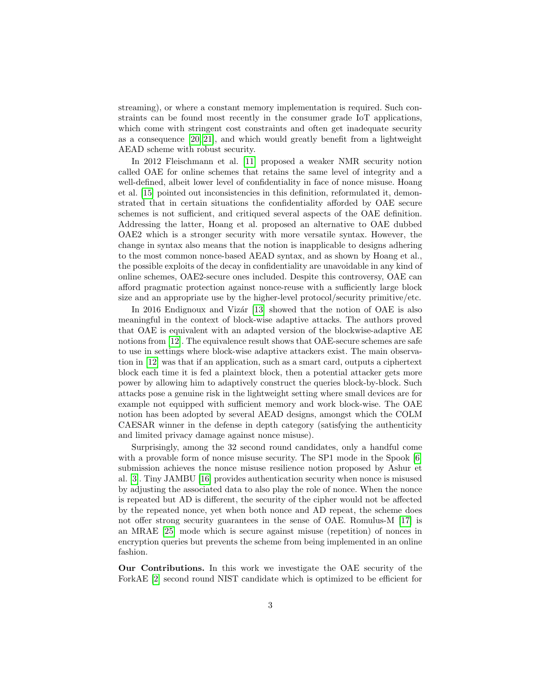streaming), or where a constant memory implementation is required. Such constraints can be found most recently in the consumer grade IoT applications, which come with stringent cost constraints and often get inadequate security as a consequence [\[20,](#page-21-9) [21\]](#page-21-10), and which would greatly benefit from a lightweight AEAD scheme with robust security.

In 2012 Fleischmann et al. [\[11\]](#page-20-2) proposed a weaker NMR security notion called OAE for online schemes that retains the same level of integrity and a well-defined, albeit lower level of confidentiality in face of nonce misuse. Hoang et al. [\[15\]](#page-20-3) pointed out inconsistencies in this definition, reformulated it, demonstrated that in certain situations the confidentiality afforded by OAE secure schemes is not sufficient, and critiqued several aspects of the OAE definition. Addressing the latter, Hoang et al. proposed an alternative to OAE dubbed OAE2 which is a stronger security with more versatile syntax. However, the change in syntax also means that the notion is inapplicable to designs adhering to the most common nonce-based AEAD syntax, and as shown by Hoang et al., the possible exploits of the decay in confidentiality are unavoidable in any kind of online schemes, OAE2-secure ones included. Despite this controversy, OAE can afford pragmatic protection against nonce-reuse with a sufficiently large block size and an appropriate use by the higher-level protocol/security primitive/etc.

In 2016 Endignoux and Vizár [\[13\]](#page-20-7) showed that the notion of OAE is also meaningful in the context of block-wise adaptive attacks. The authors proved that OAE is equivalent with an adapted version of the blockwise-adaptive AE notions from [\[12\]](#page-20-8). The equivalence result shows that OAE-secure schemes are safe to use in settings where block-wise adaptive attackers exist. The main observation in [\[12\]](#page-20-8) was that if an application, such as a smart card, outputs a ciphertext block each time it is fed a plaintext block, then a potential attacker gets more power by allowing him to adaptively construct the queries block-by-block. Such attacks pose a genuine risk in the lightweight setting where small devices are for example not equipped with sufficient memory and work block-wise. The OAE notion has been adopted by several AEAD designs, amongst which the COLM CAESAR winner in the defense in depth category (satisfying the authenticity and limited privacy damage against nonce misuse).

Surprisingly, among the 32 second round candidates, only a handful come with a provable form of nonce misuse security. The SP1 mode in the Spook [\[6\]](#page-20-9) submission achieves the nonce misuse resilience notion proposed by Ashur et al. [\[3\]](#page-20-10). Tiny JAMBU [\[16\]](#page-20-11) provides authentication security when nonce is misused by adjusting the associated data to also play the role of nonce. When the nonce is repeated but AD is different, the security of the cipher would not be affected by the repeated nonce, yet when both nonce and AD repeat, the scheme does not offer strong security guarantees in the sense of OAE. Romulus-M [\[17\]](#page-21-11) is an MRAE [\[25\]](#page-21-8) mode which is secure against misuse (repetition) of nonces in encryption queries but prevents the scheme from being implemented in an online fashion.

Our Contributions. In this work we investigate the OAE security of the ForkAE [\[2\]](#page-19-1) second round NIST candidate which is optimized to be efficient for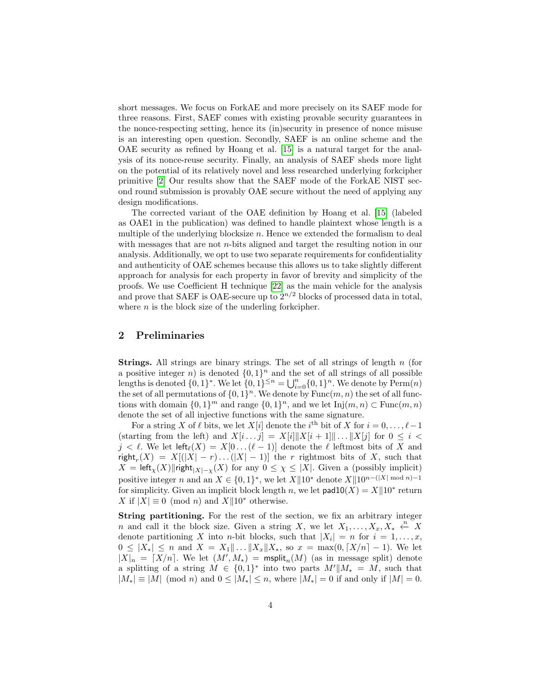short messages. We focus on ForkAE and more precisely on its SAEF mode for three reasons. First, SAEF comes with existing provable security guarantees in the nonce-respecting setting, hence its (in)security in presence of nonce misuse is an interesting open question. Secondly, SAEF is an online scheme and the OAE security as refined by Hoang et al. [\[15\]](#page-20-3) is a natural target for the analysis of its nonce-reuse security. Finally, an analysis of SAEF sheds more light on the potential of its relatively novel and less researched underlying forkcipher primitive [\[2\]](#page-19-1) Our results show that the SAEF mode of the ForkAE NIST second round submission is provably OAE secure without the need of applying any design modifications.

The corrected variant of the OAE definition by Hoang et al. [\[15\]](#page-20-3) (labeled as OAE1 in the publication) was defined to handle plaintext whose length is a multiple of the underlying blocksize n. Hence we extended the formalism to deal with messages that are not  $n$ -bits aligned and target the resulting notion in our analysis. Additionally, we opt to use two separate requirements for confidentiality and authenticity of OAE schemes because this allows us to take slightly different approach for analysis for each property in favor of brevity and simplicity of the proofs. We use Coefficient H technique [\[22\]](#page-21-12) as the main vehicle for the analysis and prove that SAEF is OAE-secure up to  $2^{n/2}$  blocks of processed data in total, where  $n$  is the block size of the underling forkcipher.

## 2 Preliminaries

**Strings.** All strings are binary strings. The set of all strings of length  $n$  (for a positive integer n) is denoted  $\{0,1\}^n$  and the set of all strings of all possible lengths is denoted  $\{0,1\}^*$ . We let  $\{0,1\}^{\leq n} = \bigcup_{i=0}^n \{0,1\}^n$ . We denote by  $\text{Perm}(n)$ the set of all permutations of  $\{0,1\}^n$ . We denote by  $\text{Func}(m,n)$  the set of all functions with domain  $\{0,1\}^m$  and range  $\{0,1\}^n$ , and we let  $Inj(m,n) \subset \text{Func}(m,n)$ denote the set of all injective functions with the same signature.

For a string X of  $\ell$  bits, we let  $X[i]$  denote the i<sup>th</sup> bit of X for  $i = 0, \ldots, \ell - 1$ (starting from the left) and  $X[i \dots j] = X[i] \| X[i+1] \| \dots \| X[j]$  for  $0 \le i <$  $j < \ell$ . We let left $_{\ell}(X) = X[0 \dots (\ell - 1)]$  denote the  $\ell$  leftmost bits of X and  $\text{right}_{r}(X) = X[(|X| - r) \dots (|X| - 1)]$  the r rightmost bits of X, such that  $X = \text{left}_{\chi}(X) || \text{right}_{|X|-\chi}(X)$  for any  $0 \leq \chi \leq |X|$ . Given a (possibly implicit) positive integer n and an  $X \in \{0,1\}^*$ , we let  $X||10^*$  denote  $X||10^{n-(|X| \mod n)-1}$ for simplicity. Given an implicit block length n, we let  $\text{pad10}(X) = X||10^*$  return X if  $|X| \equiv 0 \pmod{n}$  and  $X||10^*$  otherwise.

String partitioning. For the rest of the section, we fix an arbitrary integer n and call it the block size. Given a string X, we let  $X_1, \ldots, X_x, X_* \xleftarrow{n} X$ denote partitioning X into *n*-bit blocks, such that  $|X_i| = n$  for  $i = 1, ..., x$ ,  $0 \leq |X_*| \leq n$  and  $X = X_1 \| \dots \| X_x \| X_*,$  so  $x = \max(0, |X/n| - 1)$ . We let  $|X|_n = |X/n|$ . We let  $(M', M_*)$  = msplit<sub>n</sub> $(M)$  (as in message split) denote a splitting of a string  $M \in \{0,1\}^*$  into two parts  $M'||M_* = M$ , such that  $|M_*| \equiv |M| \pmod{n}$  and  $0 \le |M_*| \le n$ , where  $|M_*| = 0$  if and only if  $|M| = 0$ .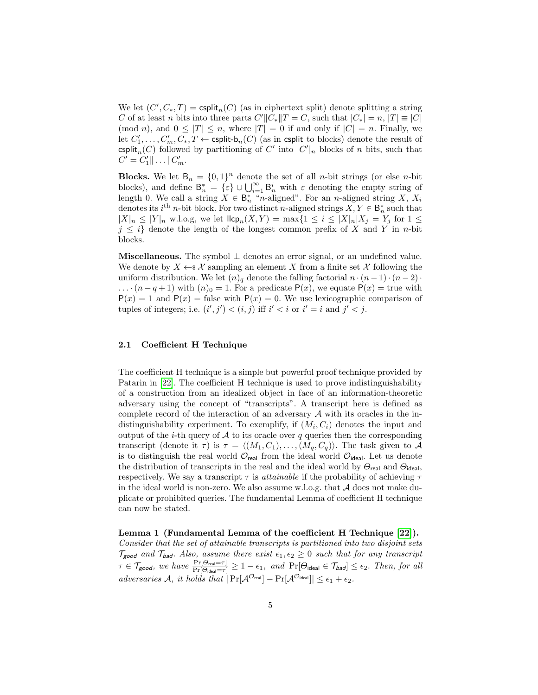We let  $(C', C_*, T) = \text{csplit}_n(C)$  (as in ciphertext split) denote splitting a string C of at least n bits into three parts  $C' || C_* || T = C$ , such that  $| C_* | = n$ ,  $| T | \equiv | C |$ (mod n), and  $0 \leq |T| \leq n$ , where  $|T| = 0$  if and only if  $|C| = n$ . Finally, we let  $C'_1, \ldots, C'_m, C_*, T \leftarrow$  csplit-b<sub>n</sub> $(C)$  (as in csplit to blocks) denote the result of  $\textsf{csplit}_n(C)$  followed by partitioning of  $C'$  into  $|C'|_n$  blocks of n bits, such that  $C' = C'_1 || \dots || C'_m.$ 

**Blocks.** We let  $B_n = \{0,1\}^n$  denote the set of all *n*-bit strings (or else *n*-bit blocks), and define  $B_n^* = {\varepsilon} \cup \bigcup_{i=1}^{\infty} B_n^i$  with  $\varepsilon$  denoting the empty string of length 0. We call a string  $X \in \mathsf{B}_{n}^{*}$  "n-aligned". For an n-aligned string X,  $X_i$ denotes its  $i^{\text{th}}$  n-bit block. For two distinct n-aligned strings  $X, Y \in \mathsf{B}_{n}^{*}$  such that  $|X|_n \leq |Y|_n$  w.l.o.g, we let  $\mathsf{llcp}_n(X, Y) = \max\{1 \leq i \leq |X|_n | X_j = Y_j \text{ for } 1 \leq j \leq n\}$  $j \leq i$  denote the length of the longest common prefix of X and Y in n-bit blocks.

Miscellaneous. The symbol  $\perp$  denotes an error signal, or an undefined value. We denote by  $X \leftarrow \mathcal{X}$  sampling an element X from a finite set X following the uniform distribution. We let  $(n)$ <sub>q</sub> denote the falling factorial  $n \cdot (n-1) \cdot (n-2) \cdot$  $\ldots$   $(n - q + 1)$  with  $(n)_{0} = 1$ . For a predicate P(x), we equate P(x) = true with  $P(x) = 1$  and  $P(x) =$  false with  $P(x) = 0$ . We use lexicographic comparison of tuples of integers; i.e.  $(i', j') < (i, j)$  iff  $i' < i$  or  $i' = i$  and  $j' < j$ .

#### 2.1 Coefficient H Technique

The coefficient H technique is a simple but powerful proof technique provided by Patarin in [\[22\]](#page-21-12). The coefficient H technique is used to prove indistinguishability of a construction from an idealized object in face of an information-theoretic adversary using the concept of "transcripts". A transcript here is defined as complete record of the interaction of an adversary  $A$  with its oracles in the indistinguishability experiment. To exemplify, if  $(M_i, C_i)$  denotes the input and output of the *i*-th query of  $\mathcal A$  to its oracle over q queries then the corresponding transcript (denote it  $\tau$ ) is  $\tau = \langle (M_1, C_1), \ldots, (M_q, C_q) \rangle$ . The task given to A is to distinguish the real world  $\mathcal{O}_{\text{real}}$  from the ideal world  $\mathcal{O}_{\text{ideal}}$ . Let us denote the distribution of transcripts in the real and the ideal world by  $\Theta_{\text{real}}$  and  $\Theta_{\text{ideal}}$ , respectively. We say a transcript  $\tau$  is *attainable* if the probability of achieving  $\tau$ in the ideal world is non-zero. We also assume w.l.o.g. that  $A$  does not make duplicate or prohibited queries. The fundamental Lemma of coefficient H technique can now be stated.

<span id="page-4-0"></span>Lemma 1 (Fundamental Lemma of the coefficient H Technique [\[22\]](#page-21-12)). Consider that the set of attainable transcripts is partitioned into two disjoint sets  $\mathcal{T}_{good}$  and  $\mathcal{T}_{bad}$ . Also, assume there exist  $\epsilon_1, \epsilon_2 \geq 0$  such that for any transcript  $\tau \in \mathcal{T}_{good}$ , we have  $\frac{\Pr[\Theta_{\text{real}}=\tau]}{\Pr[\Theta_{\text{ideal}}=\tau]} \geq 1 - \epsilon_1$ , and  $\Pr[\Theta_{\text{ideal}} \in \mathcal{T}_{bad}] \leq \epsilon_2$ . Then, for all adversaries A, it holds that  $|\Pr[\mathcal{A}^{\mathcal{O}_{\text{real}}}] - \Pr[\mathcal{A}^{\mathcal{O}_{\text{ideal}}}]| \leq \epsilon_1 + \epsilon_2$ .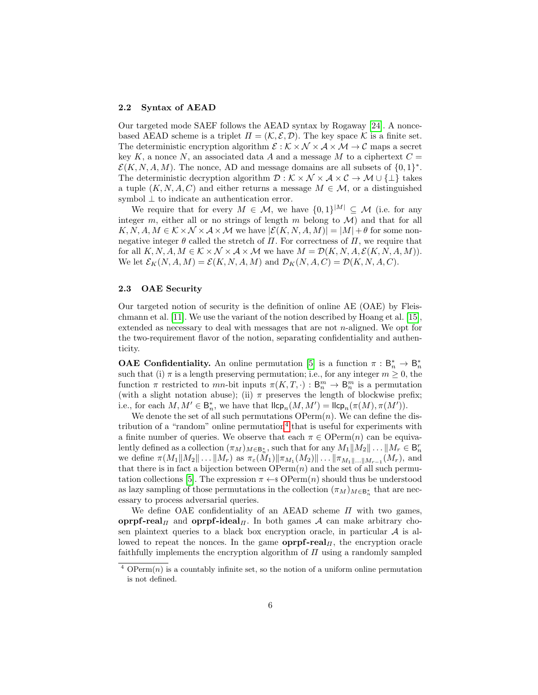#### 2.2 Syntax of AEAD

Our targeted mode SAEF follows the AEAD syntax by Rogaway [\[24\]](#page-21-0). A noncebased AEAD scheme is a triplet  $\Pi = (\mathcal{K}, \mathcal{E}, \mathcal{D})$ . The key space K is a finite set. The deterministic encryption algorithm  $\mathcal{E}: \mathcal{K} \times \mathcal{N} \times \mathcal{A} \times \mathcal{M} \to \mathcal{C}$  maps a secret key K, a nonce N, an associated data A and a message M to a ciphertext  $C =$  $\mathcal{E}(K, N, A, M)$ . The nonce, AD and message domains are all subsets of  $\{0, 1\}^*$ . The deterministic decryption algorithm  $\mathcal{D}: \mathcal{K} \times \mathcal{N} \times \mathcal{A} \times \mathcal{C} \rightarrow \mathcal{M} \cup \{\perp\}$  takes a tuple  $(K, N, A, C)$  and either returns a message  $M \in \mathcal{M}$ , or a distinguished symbol  $\perp$  to indicate an authentication error.

We require that for every  $M \in \mathcal{M}$ , we have  $\{0,1\}^{|M|} \subseteq \mathcal{M}$  (i.e. for any integer m, either all or no strings of length m belong to  $\mathcal{M}$  and that for all  $K, N, A, M \in \mathcal{K} \times \mathcal{N} \times \mathcal{A} \times \mathcal{M}$  we have  $|\mathcal{E}(K, N, A, M)| = |M| + \theta$  for some nonnegative integer  $\theta$  called the stretch of  $\Pi$ . For correctness of  $\Pi$ , we require that for all  $K, N, A, M \in K \times N \times A \times M$  we have  $M = \mathcal{D}(K, N, A, \mathcal{E}(K, N, A, M)).$ We let  $\mathcal{E}_K(N, A, M) = \mathcal{E}(K, N, A, M)$  and  $\mathcal{D}_K(N, A, C) = \mathcal{D}(K, N, A, C)$ .

## 2.3 OAE Security

Our targeted notion of security is the definition of online AE (OAE) by Fleischmann et al. [\[11\]](#page-20-2). We use the variant of the notion described by Hoang et al. [\[15\]](#page-20-3), extended as necessary to deal with messages that are not  $n$ -aligned. We opt for the two-requirement flavor of the notion, separating confidentiality and authenticity.

**OAE Confidentiality.** An online permutation [\[5\]](#page-20-12) is a function  $\pi : \mathsf{B}_n^* \to \mathsf{B}_n^*$ such that (i)  $\pi$  is a length preserving permutation; i.e., for any integer  $m \geq 0$ , the function  $\pi$  restricted to mn-bit inputs  $\pi(K,T,\cdot) : \mathsf{B}_{n}^{m} \to \mathsf{B}_{n}^{m}$  is a permutation (with a slight notation abuse); (ii)  $\pi$  preserves the length of blockwise prefix; i.e., for each  $M, M' \in B_n^*$ , we have that  $\mathsf{llcp}_n(M, M') = \mathsf{llcp}_n(\pi(M), \pi(M')).$ 

We denote the set of all such permutations  $\mathrm{OPerm}(n)$ . We can define the dis-tribution of a "random" online permutation<sup>[4](#page-5-0)</sup> that is useful for experiments with a finite number of queries. We observe that each  $\pi \in \text{OPerm}(n)$  can be equivalently defined as a collection  $(\pi_M)_{M \in \mathsf{B}_n^*}$ , such that for any  $M_1||M_2|| \ldots ||M_r \in \mathsf{B}_n^r$ we define  $\pi(M_1||M_2||...||M_r)$  as  $\pi_{\varepsilon}(M_1)||\pi_{M_1}(M_2)||...||\pi_{M_1||...||M_{r-1}}(M_r)$ , and that there is in fact a bijection between  $\mathrm{OPerm}(n)$  and the set of all such permu-tation collections [\[5\]](#page-20-12). The expression  $\pi \leftarrow s$  OPerm $(n)$  should thus be understood as lazy sampling of those permutations in the collection  $(\pi_M)_{M \in \mathsf{B}_n^*}$  that are necessary to process adversarial queries.

We define OAE confidentiality of an AEAD scheme  $\Pi$  with two games, oprpf-real<sub>Π</sub> and oprpf-ideal<sub>Π</sub>. In both games A can make arbitrary chosen plaintext queries to a black box encryption oracle, in particular  $A$  is allowed to repeat the nonces. In the game **oprpf-real**<sub> $\Pi$ </sub>, the encryption oracle faithfully implements the encryption algorithm of  $\Pi$  using a randomly sampled

<span id="page-5-0"></span> $4$  OPerm $(n)$  is a countably infinite set, so the notion of a uniform online permutation is not defined.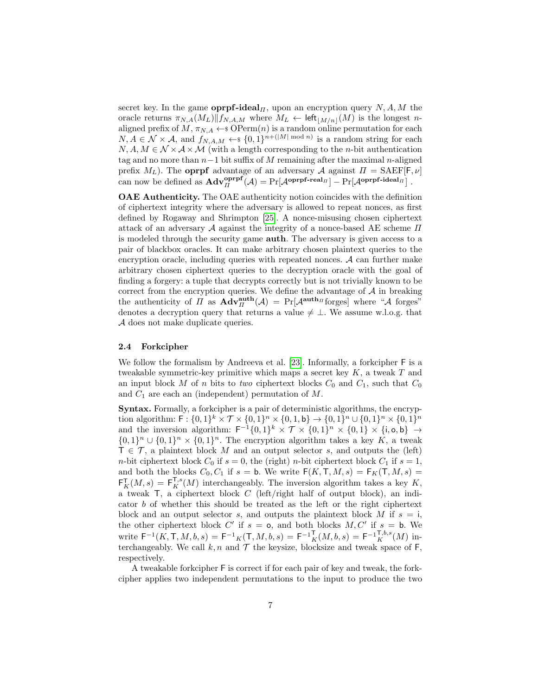secret key. In the game **oprpf-ideal**<sub>*II*</sub>, upon an encryption query  $N$ ,  $A$ ,  $M$  the oracle returns  $\pi_{N,A}(M_L)|f_{N,A,M}$  where  $M_L \leftarrow \text{left}_{[M/n]}(M)$  is the longest naligned prefix of  $M, \pi_{N,A} \leftarrow$  OPerm $(n)$  is a random online permutation for each  $N, A \in \mathcal{N} \times \mathcal{A}$ , and  $f_{N, A, M} \leftarrow \{0, 1\}^{n + (|M| \bmod n)}$  is a random string for each  $N, A, M \in \mathcal{N} \times \mathcal{A} \times \mathcal{M}$  (with a length corresponding to the *n*-bit authentication tag and no more than  $n-1$  bit suffix of M remaining after the maximal n-aligned prefix  $M_L$ ). The **oprpf** advantage of an adversary A against  $\Pi = SAEF[F, \nu]$ can now be defined as  $\mathbf{Adv}_{\Pi}^{\mathbf{opppf}}(\mathcal{A}) = \Pr[\mathcal{A}^{\mathbf{oprpf}\text{-}real_{\Pi}}] - \Pr[\mathcal{A}^{\mathbf{oprpf}\text{-}ideal_{\Pi}}]$ .

OAE Authenticity. The OAE authenticity notion coincides with the definition of ciphertext integrity where the adversary is allowed to repeat nonces, as first defined by Rogaway and Shrimpton [\[25\]](#page-21-8). A nonce-misusing chosen ciphertext attack of an adversary  $\mathcal A$  against the integrity of a nonce-based AE scheme  $\Pi$ is modeled through the security game auth. The adversary is given access to a pair of blackbox oracles. It can make arbitrary chosen plaintext queries to the encryption oracle, including queries with repeated nonces.  $A$  can further make arbitrary chosen ciphertext queries to the decryption oracle with the goal of finding a forgery: a tuple that decrypts correctly but is not trivially known to be correct from the encryption queries. We define the advantage of  $A$  in breaking the authenticity of  $\Pi$  as  $\mathbf{Adv}_{\Pi}^{\text{auth}}(\mathcal{A}) = \Pr[\mathcal{A}^{\text{auth}_{\Pi}} \text{forges}]$  where " $\mathcal A$  forges" denotes a decryption query that returns a value  $\neq \bot$ . We assume w.l.o.g. that A does not make duplicate queries.

## <span id="page-6-0"></span>2.4 Forkcipher

We follow the formalism by Andreeva et al. [\[23\]](#page-21-13). Informally, a forkcipher F is a tweakable symmetric-key primitive which maps a secret key  $K$ , a tweak  $T$  and an input block M of n bits to two ciphertext blocks  $C_0$  and  $C_1$ , such that  $C_0$ and  $C_1$  are each an (independent) permutation of  $M$ .

Syntax. Formally, a forkcipher is a pair of deterministic algorithms, the encryption algorithm:  $F: \{0,1\}^k \times T \times \{0,1\}^n \times \{0,1, \mathsf{b}\} \rightarrow \{0,1\}^n \cup \{0,1\}^n \times \{0,1\}^n$ and the inversion algorithm:  $F^{-1}\{0,1\}^k \times T \times \{0,1\}^n \times \{0,1\} \times \{i,0,b\} \rightarrow$  $\{0,1\}^n \cup \{0,1\}^n \times \{0,1\}^n$ . The encryption algorithm takes a key K, a tweak  $\mathsf{T} \in \mathcal{T}$ , a plaintext block M and an output selector s, and outputs the (left) *n*-bit ciphertext block  $C_0$  if  $s = 0$ , the (right) *n*-bit ciphertext block  $C_1$  if  $s = 1$ , and both the blocks  $C_0, C_1$  if  $s = b$ . We write  $F(K, T, M, s) = F_K(T, M, s) =$  $\mathsf{F}_K^{\mathsf{T}}(M,s) = \mathsf{F}_K^{\mathsf{T},s}(M)$  interchangeably. The inversion algorithm takes a key K, a tweak  $\mathsf{T}$ , a ciphertext block C (left/right half of output block), an indicator b of whether this should be treated as the left or the right ciphertext block and an output selector s, and outputs the plaintext block M if  $s = i$ , the other ciphertext block C' if  $s = \text{o}$ , and both blocks  $M, C'$  if  $s = \text{b}$ . We write  $F^{-1}(K, T, M, b, s) = F^{-1}{}_{K}(T, M, b, s) = F^{-1}{}_{K}^{T}(M, b, s) = F^{-1}{}_{K}^{T, b, s}(M)$  interchangeably. We call  $k, n$  and  $\mathcal T$  the keysize, blocksize and tweak space of  $\mathsf F$ , respectively.

A tweakable forkcipher F is correct if for each pair of key and tweak, the forkcipher applies two independent permutations to the input to produce the two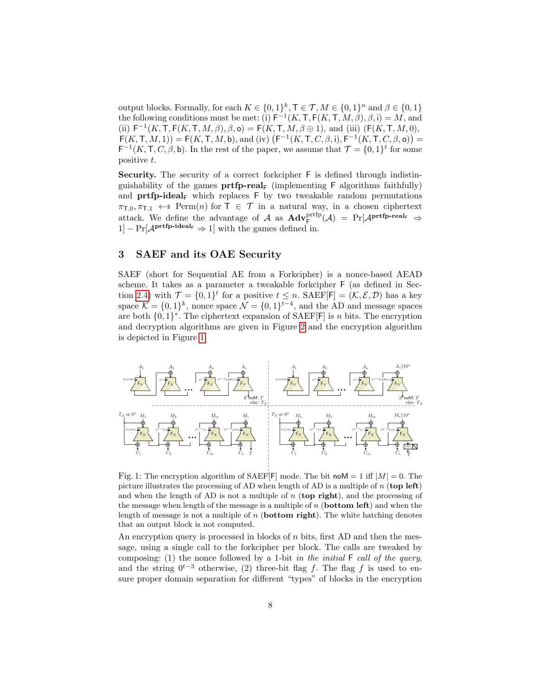output blocks. Formally, for each  $K \in \{0,1\}^k$ ,  $\mathsf{T} \in \mathcal{T}$ ,  $M \in \{0,1\}^n$  and  $\beta \in \{0,1\}$ the following conditions must be met: (i)  $\mathsf{F}^{-1}(K,\mathsf{T},\mathsf{F}(K,\mathsf{T},M,\beta),\beta,\mathsf{i})=M$ , and (ii)  $F^{-1}(K, T, F(K, T, M, \beta), \beta, o) = F(K, T, M, \beta \oplus 1)$ , and (iii)  $(F(K, T, M, 0),$  $F(K, T, M, 1)) = F(K, T, M, b)$ , and (iv)  $(F^{-1}(K, T, C, \beta, i), F^{-1}(K, T, C, \beta, o)) =$  $F^{-1}(K,\mathsf{T},C,\beta,\mathsf{b})$ . In the rest of the paper, we assume that  $\mathcal{T} = \{0,1\}^t$  for some positive t.

Security. The security of a correct forkcipher F is defined through indistinguishability of the games  $\text{prtfp-real}_F$  (implementing  $F$  algorithms faithfully) and  $\text{prtfp-ideal}_{F}$  which replaces F by two tweakable random permutations  $\pi_{\mathsf{T},0}, \pi_{\mathsf{T},1} \leftarrow \mathsf{s} \text{Perm}(n) \text{ for } \mathsf{T} \in \mathcal{T} \text{ in a natural way, in a chosen ciphertext}$ attack. We define the advantage of A as  $\text{Adv}_{\mathsf{F}}^{\text{prtfp}}(\mathcal{A}) = \Pr[\mathcal{A}^{\text{prtfp-real}_{\mathsf{F}}}\Rightarrow$  $1$ ] – Pr[ $\mathcal{A}$ prtfp-ideal<sub>F</sub>  $\Rightarrow$  1] with the games defined in.

## <span id="page-7-1"></span>3 SAEF and its OAE Security

SAEF (short for Sequential AE from a Forkcipher) is a nonce-based AEAD scheme. It takes as a parameter a tweakable forkcipher F (as defined in Sec-tion [2.4\)](#page-6-0) with  $\mathcal{T} = \{0,1\}^t$  for a positive  $t \leq n$ . SAEF[F] =  $(\mathcal{K}, \mathcal{E}, \mathcal{D})$  has a key space  $\mathcal{K} = \{0,1\}^k$ , nonce space  $\mathcal{N} = \{0,1\}^{t-4}$ , and the AD and message spaces are both  $\{0,1\}^*$ . The ciphertext expansion of SAEF[F] is n bits. The encryption and decryption algorithms are given in Figure [2](#page-9-0) and the encryption algorithm is depicted in Figure [1.](#page-7-0)

<span id="page-7-0"></span>

Fig. 1: The encryption algorithm of SAEF[F] mode. The bit noM = 1 iff  $|M| = 0$ . The picture illustrates the processing of AD when length of AD is a multiple of  $n$  (top left) and when the length of AD is not a multiple of  $n$  (top right), and the processing of the message when length of the message is a multiple of  $n$  (**bottom left**) and when the length of message is not a multiple of  $n$  (**bottom right**). The white hatching denotes that an output block is not computed.

An encryption query is processed in blocks of  $n$  bits, first AD and then the message, using a single call to the forkcipher per block. The calls are tweaked by composing: (1) the nonce followed by a 1-bit in the initial  $\mathsf{F}$  call of the query, and the string  $0^{t-3}$  otherwise, (2) three-bit flag f. The flag f is used to ensure proper domain separation for different "types" of blocks in the encryption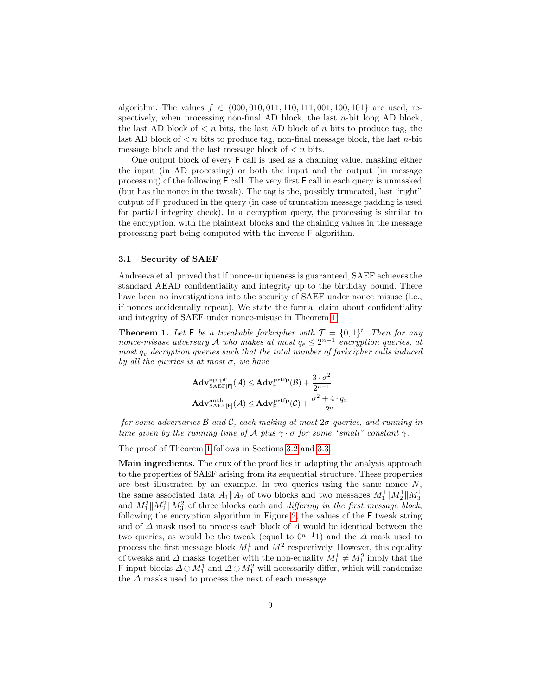algorithm. The values  $f \in \{000, 010, 011, 110, 111, 001, 100, 101\}$  are used, respectively, when processing non-final AD block, the last  $n$ -bit long AD block, the last AD block of  $\lt n$  bits, the last AD block of n bits to produce tag, the last AD block of  $\lt n$  bits to produce tag, non-final message block, the last *n*-bit message block and the last message block of  $\lt n$  bits.

One output block of every F call is used as a chaining value, masking either the input (in AD processing) or both the input and the output (in message processing) of the following F call. The very first F call in each query is unmasked (but has the nonce in the tweak). The tag is the, possibly truncated, last "right" output of F produced in the query (in case of truncation message padding is used for partial integrity check). In a decryption query, the processing is similar to the encryption, with the plaintext blocks and the chaining values in the message processing part being computed with the inverse F algorithm.

#### 3.1 Security of SAEF

Andreeva et al. proved that if nonce-uniqueness is guaranteed, SAEF achieves the standard AEAD confidentiality and integrity up to the birthday bound. There have been no investigations into the security of SAEF under nonce misuse (i.e., if nonces accidentally repeat). We state the formal claim about confidentiality and integrity of SAEF under nonce-misuse in Theorem [1.](#page-8-0)

**Theorem 1.** Let F be a tweakable forkcipher with  $\mathcal{T} = \{0,1\}^t$ . Then for any nonce-misuse adversary A who makes at most  $q_e \leq 2^{n-1}$  encryption queries, at  $most q<sub>v</sub>$  decryption queries such that the total number of forkcipher calls induced by all the queries is at most  $\sigma$ , we have

<span id="page-8-0"></span>
$$
\begin{aligned} &\mathbf{Adv}_{\mathrm{SAEF}[\mathrm{F}]}^{\mathrm{opp}\mathrm{r}\mathrm{p}}(\mathcal{A}) \leq \mathbf{Adv}_{\mathrm{F}}^{\mathrm{prtfp}}(\mathcal{B}) + \frac{3 \cdot \sigma^2}{2^{n+1}} \\ &\mathbf{Adv}_{\mathrm{SAEF}[\mathrm{F}]}^{\mathrm{auth}}(\mathcal{A}) \leq \mathbf{Adv}_{\mathrm{F}}^{\mathrm{prtfp}}(\mathcal{C}) + \frac{\sigma^2 + 4 \cdot q_v}{2^n} \end{aligned}
$$

for some adversaries  $\mathcal B$  and  $\mathcal C$ , each making at most  $2\sigma$  queries, and running in time given by the running time of A plus  $\gamma \cdot \sigma$  for some "small" constant  $\gamma$ .

The proof of Theorem [1](#page-8-0) follows in Sections [3.2](#page-10-0) and [3.3.](#page-15-0)

Main ingredients. The crux of the proof lies in adapting the analysis approach to the properties of SAEF arising from its sequential structure. These properties are best illustrated by an example. In two queries using the same nonce  $N$ , the same associated data  $A_1||A_2$  of two blocks and two messages  $M_1^1||M_2^1||M_3^1$ and  $M_1^2 \| M_2^2 \| M_3^2$  of three blocks each and *differing in the first message block*, following the encryption algorithm in Figure [2,](#page-9-0) the values of the F tweak string and of  $\Delta$  mask used to process each block of A would be identical between the two queries, as would be the tweak (equal to  $0^{n-1}$ 1) and the  $\Delta$  mask used to process the first message block  $M_1^1$  and  $M_1^2$  respectively. However, this equality of tweaks and  $\Delta$  masks together with the non-equality  $M_1^1 \neq M_1^2$  imply that the F input blocks  $\Delta \oplus M_1^1$  and  $\Delta \oplus M_1^2$  will necessarily differ, which will randomize the  $\Delta$  masks used to process the next of each message.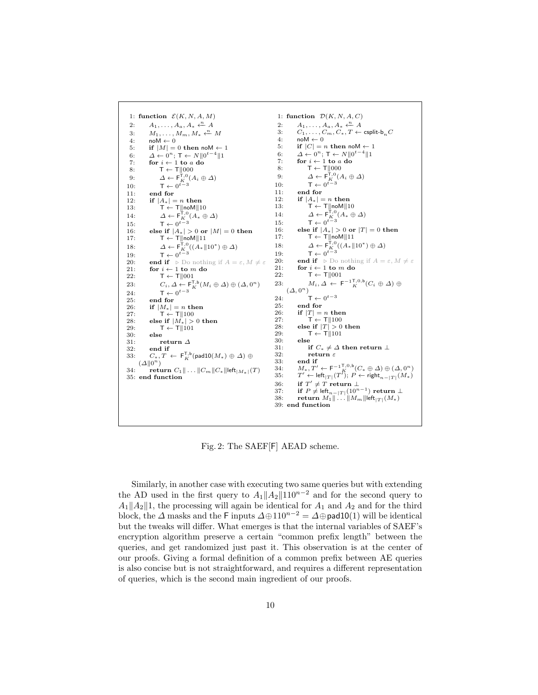```
1: function \mathcal{E}(K, N, A, M)2: A_1, \ldots, A_a, A_* \xleftarrow{n} A3: M_1, \ldots, M_m, M_* \xleftarrow{n} M4: noM \leftarrow 05: if |M| = 0 then noM \leftarrow 1
   6: \Delta \leftarrow 0^n; \mathsf{T} \leftarrow N || 0^{t-4} || 17: for i \leftarrow 1 to a do
  8: \mathsf{T} \leftarrow \mathsf{T} \parallel 0009: \Delta \leftarrow \mathsf{F}_{K}^{\mathsf{T},0}(A_i \oplus \Delta)<br>10: \mathsf{T} \leftarrow 0^{t-3}11: end for<br>12: if |A_{\infty}| =12: if |A_*| = n then<br>13: T \leftarrow T||\text{noM}||1014: \Delta \leftarrow \mathsf{F}_{K}^{\mathsf{T},0}(A_{*} \oplus \Delta)<br>
15: \mathsf{T} \leftarrow 0^{t-3}16: else if |A_*| > 0 or |M| = 0 then<br>17: T \leftarrow T||\text{noM}||11T \leftarrow T \|\text{noM}\| 1118: \Delta \leftarrow \mathsf{F}_K^{\mathsf{T},0}((A_* \parallel 10^*) \oplus \Delta)19: \mathsf{T} \leftarrow 0^{t-3}20: end if \rhd Do nothing if A = \varepsilon, M \neq \varepsilon<br>21: for i \leftarrow 1 to m do
               for i \leftarrow 1 to m do
22: \mathsf{T} \leftarrow \mathsf{T} \parallel 00123: C_i, \Delta \leftarrow \mathsf{F}_K^{\mathsf{T},\mathsf{b}}(M_i \oplus \Delta) \oplus (\Delta, 0^n)24: \mathsf{T} \leftarrow 0^{t-3}25: end for<br>26: if |M_*|:
 26: if |M_*| = n then<br>27: T ← T|100|28: else if |M_*| > 0 then<br>29: T \leftarrow T||101\mathsf{T} \leftarrow \mathsf{T} \| 10130: else<br>31: \mathbf{r}return\varDelta32: end if<br>
C_*, T \leftarrow \mathsf{F}_K^{\mathsf{T},\mathsf{b}}(\mathsf{pad10}(M_*) \oplus \Delta) \oplus<br>
(\Delta \parallel 0^n)34: return C_1 \| ... \| C_m \| C_* \|left|_{M_*} (T)35: end function
                                                                                                     1: function \mathcal{D}(K, N, A, C)2: A_1, \ldots, A_a, A_* \xleftarrow{n} A3: C_1, \ldots, C_m, C_*, T \leftarrow \text{csplit-b}_n C<br>4: \text{noM} \leftarrow 0\mathbf{n} \circ \mathbf{M} \leftarrow 05: if |C| = n then noM \leftarrow 1
                                                                                                      6: \Delta \leftarrow 0^n; \mathsf{T} \leftarrow N || 0^{t-4} || 17: for i \leftarrow 1 to a do<br>8: T \leftarrow T \parallel 0008: \mathsf{T} \leftarrow \mathsf{T} \parallel 0009: \Delta \leftarrow \mathsf{F}_K^{\mathsf{T},0}(A_i \oplus \Delta)<br>10: \mathsf{T} \leftarrow 0^{t-3}11: end for<br>12: if |A_*| =
                                                                                                   12: if |A_*| = n then<br>13: \mathsf{T} \leftarrow \mathsf{T} \mathsf{InoM}T \leftarrow T \|\text{noM}\| 1014: \Delta \leftarrow \mathsf{F}_{K}^{\mathsf{T},0}(A_{*} \oplus \Delta)<br>
15: \mathsf{T} \leftarrow 0^{t-3}16: else if |A_*| > 0 or |T| = 0 then
                                                                                                    17: T \leftarrow T \cdot \| \text{noM} \| 1118: \Delta \leftarrow \mathsf{F}_K^{\mathsf{T},0}((A_* \parallel 10^*) \oplus \Delta)19: \mathsf{T} \leftarrow 0^{t-3}20: end if \rho Do nothing if A = \varepsilon, M \neq \varepsilon21: for i \leftarrow 1 to m do<br>22: T \leftarrow T \| 001\mathsf{T} \leftarrow \mathsf{T} \| 00123: M_i, \Delta \leftarrow \mathsf{F}^{-1}{}_K^{\mathsf{T},0,\mathsf{b}}(C_i \oplus \Delta) \oplus(\Delta, 0^n)24: \mathsf{T} \leftarrow 0^{t-3}25: end for<br>26: if |T| =26: if |T| = n then<br>27: T \leftarrow T || 10027: \mathsf{T} \leftarrow \mathsf{T} \| 100<br>28: else if |\mathsf{T}| > 028: else if |T| > 0 then<br>29: T \leftarrow T || 10129: \mathsf{T} \leftarrow \mathsf{T} \| 101<br>30: else
                                                                                                   30: else<br>31: i
                                                                                                   31: if C_* \neq \Delta then return \perp<br>32: return \varepsilonreturn \varepsilon33: end if<br>34: M_*, T'34: M_*, T' \leftarrow {\bf F}^{-1}I^{\{T,0,\bf b}}_K(C_* \oplus \Delta) \oplus (\Delta, 0^n)35:
                                                                                                                      \gamma' ← left_{|T|}(T'); P ← right_{n-|T|}(M_*)36: if T' \neq T return \perp<br>37: if P \neq \text{left}_{n-|T|} (10^{n-1}) return \perp<br>38: return M_1 || \ldots || M_m || \text{left}_{|T|} (M_*)39: end function
```
Fig. 2: The SAEF[F] AEAD scheme.

Similarly, in another case with executing two same queries but with extending the AD used in the first query to  $A_1||A_2||110^{n-2}$  and for the second query to  $A_1||A_2||1$ , the processing will again be identical for  $A_1$  and  $A_2$  and for the third block, the  $\Delta$  masks and the F inputs  $\Delta \oplus 110^{n-2} = \Delta \oplus \text{pad10}(1)$  will be identical but the tweaks will differ. What emerges is that the internal variables of SAEF's encryption algorithm preserve a certain "common prefix length" between the queries, and get randomized just past it. This observation is at the center of our proofs. Giving a formal definition of a common prefix between AE queries is also concise but is not straightforward, and requires a different representation of queries, which is the second main ingredient of our proofs.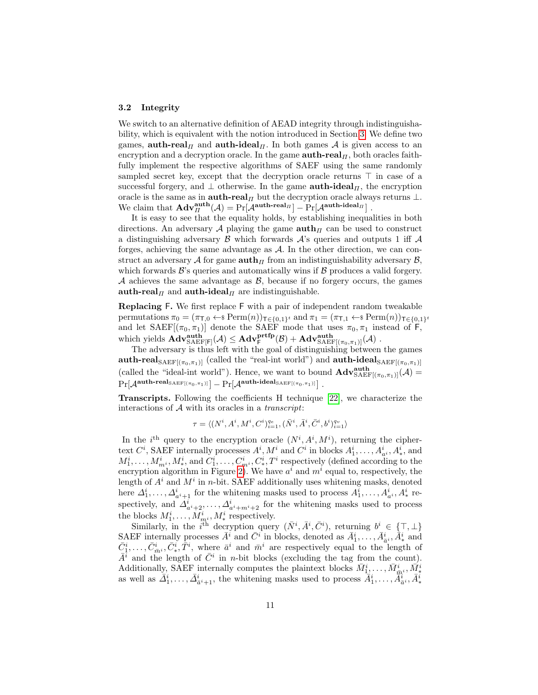#### <span id="page-10-0"></span>3.2 Integrity

We switch to an alternative definition of AEAD integrity through indistinguishability, which is equivalent with the notion introduced in Section [3.](#page-7-1) We define two games, **auth-real**<sub>*II*</sub> and **auth-ideal**<sub>*II*</sub>. In both games  $A$  is given access to an encryption and a decryption oracle. In the game  $\text{auth-real}_{\Pi}$ , both oracles faithfully implement the respective algorithms of SAEF using the same randomly sampled secret key, except that the decryption oracle returns  $\top$  in case of a successful forgery, and  $\perp$  otherwise. In the game **auth-ideal**<sub>*II*</sub>, the encryption oracle is the same as in  $\textbf{auth-real}_{\Pi}$  but the decryption oracle always returns  $\bot$ . We claim that  $\mathbf{Adv}_{\Pi}^{\text{auth}}(\mathcal{A}) = \Pr[\mathcal{A}^{\text{auth-real}_{\Pi}}] - \Pr[\mathcal{A}^{\text{auth-ideal}_{\Pi}}]$ .

It is easy to see that the equality holds, by establishing inequalities in both directions. An adversary A playing the game  $\text{auth}_{\Pi}$  can be used to construct a distinguishing adversary  $\beta$  which forwards  $\mathcal{A}$ 's queries and outputs 1 iff  $\mathcal{A}$ forges, achieving the same advantage as A. In the other direction, we can construct an adversary A for game  $\text{auth}_{\Pi}$  from an indistinguishability adversary B, which forwards  $\mathcal{B}'$ 's queries and automatically wins if  $\mathcal{B}$  produces a valid forgery. A achieves the same advantage as  $\beta$ , because if no forgery occurs, the games auth-real<sub>Π</sub> and auth-ideal<sub>Π</sub> are indistinguishable.

Replacing F. We first replace F with a pair of independent random tweakable permutations  $\pi_0 = (\pi_{\mathsf{T},0} \leftarrow \$ \text{Perm}(n))_{\mathsf{T} \in \{0,1\}^t}$  and  $\pi_1 = (\pi_{\mathsf{T},1} \leftarrow \$ \text{Perm}(n))_{\mathsf{T} \in \{0,1\}^t}$ and let  $SAEF[(\pi_0, \pi_1)]$  denote the SAEF mode that uses  $\pi_0, \pi_1$  instead of F, which yields  $\mathbf{Adv}_{\mathrm{SAEF}[\mathsf{F}]}^{\mathbf{auth}}(\mathcal{A}) \leq \mathbf{Adv}_{\mathsf{F}}^{\mathbf{prtfp}}(\mathcal{B}) + \mathbf{Adv}_{\mathrm{SAEF}[(\pi_0,\pi_1)]}^{\mathbf{auth}}(\mathcal{A})\;.$ 

The adversary is thus left with the goal of distinguishing between the games auth-real<sub>SAEF[( $\pi_0$ , $\pi_1$ )] (called the "real-int world") and auth-ideal<sub>SAEF[( $\pi_0$ , $\pi_1$ )]</sub></sub> (called the "ideal-int world"). Hence, we want to bound  $\mathbf{Adv}_{SAEF[(\pi_0,\pi_1)]}^{auth}(\mathcal{A}) =$  $\Pr[\mathcal{A}^{\textbf{auth-real}_{\text{SAEF}[(\pi_0,\pi_1)]}]-\Pr[\mathcal{A}^{\textbf{auth-ideal}_{\text{SAEF}[(\pi_0,\pi_1)]}]}\;.$ 

Transcripts. Following the coefficients H technique [\[22\]](#page-21-12), we characterize the interactions of  $A$  with its oracles in a *transcript*:

$$
\tau = \langle (N^i, A^i, M^i, C^i)_{i=1}^{q_e}, (\bar{N}^i, \bar{A}^i, \bar{C}^i, b^i)_{i=1}^{q_v} \rangle
$$

In the *i*<sup>th</sup> query to the encryption oracle  $(N^i, A^i, M^i)$ , returning the ciphertext  $C^i$ , SAEF internally processes  $A^i$ ,  $M^i$  and  $C^i$  in blocks  $A_1^i$ , ...,  $A_{a^i}^i$ ,  $A_*^i$ , and  $M_1^i, \ldots, M_{m^i}^i, M_*^i$ , and  $C_1^i, \ldots, C_{m^i}^i, C_*^i, T^i$  respectively (defined according to the encryption algorithm in Figure [2\)](#page-9-0). We have  $a^i$  and  $m^i$  equal to, respectively, the length of  $A^i$  and  $M^i$  in *n*-bit. SAEF additionally uses whitening masks, denoted here  $\Delta_1^i, \ldots, \Delta_{a^i+1}^i$  for the whitening masks used to process  $A_1^i, \ldots, A_{a^i}^i, A_*^i$  respectively, and  $\Delta^i_{a^i+2}, \ldots, \Delta^i_{a^i+m^i+2}$  for the whitening masks used to process the blocks  $M_1^i, \ldots, M_{m_i^i}^i, M_*^i$  respectively.

Similarly, in the  $i^{th}$  decryption query  $(\bar{N}^i, \bar{A}^i, \bar{C}^i)$ , returning  $b^i \in \{\top, \bot\}$ SAEF internally processes  $\bar{A}^i$  and  $\bar{C}^i$  in blocks, denoted as  $\bar{A}^i_1, \ldots, \bar{A}^i_{\bar{a}^i}, \bar{A}^i_*$  and  $\bar{C}_1^i,\ldots,\bar{C}_{\bar{m}^i},\bar{C}_*,\bar{T}^i$ , where  $\bar{a}^i$  and  $\bar{m}^i$  are respectively equal to the length of  $\overline{A}^i$  and the length of  $\overline{C}^i$  in *n*-bit blocks (excluding the tag from the count). Additionally, SAEF internally computes the plaintext blocks  $\bar{M}^i_1, \ldots, \bar{M}^i_{\bar{m}^i}, \bar{M}^i_{\bar{*}}$ as well as  $\overline{A}_1^i, \ldots, \overline{A}_{\overline{a}^i+1}^i$ , the whitening masks used to process  $\overline{A}_1^i, \ldots, \overline{A}_{\overline{a}^i}^i, \overline{A}_*^i$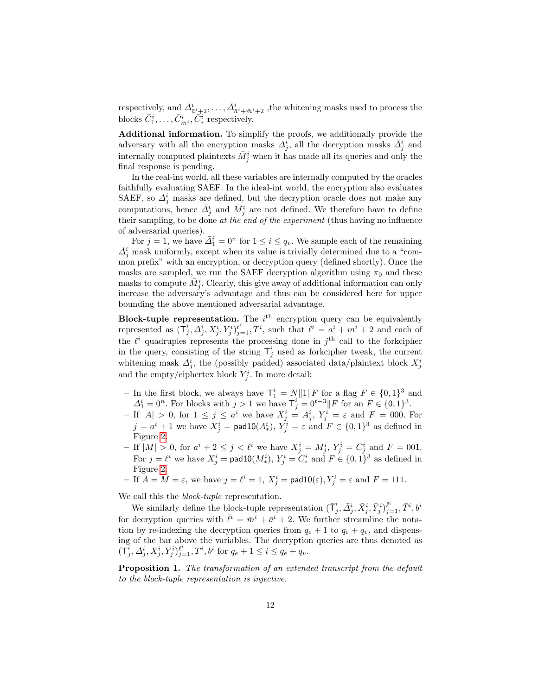respectively, and  $\bar{A}^i_{\bar{a}^i+2},\ldots,\bar{A}^i_{\bar{a}^i+\bar{m}^i+2}$ , the whitening masks used to process the blocks  $\bar{C}_1^i, \ldots, \bar{C}_{\bar{m}^i}^i, \bar{C}_*^i$  respectively.

Additional information. To simplify the proofs, we additionally provide the adversary with all the encryption masks  $\Delta_j^i$ , all the decryption masks  $\bar{\Delta}_j^i$  and internally computed plaintexts  $\bar{M}^i_j$  when it has made all its queries and only the final response is pending.

In the real-int world, all these variables are internally computed by the oracles faithfully evaluating SAEF. In the ideal-int world, the encryption also evaluates SAEF, so  $\Delta_j^i$  masks are defined, but the decryption oracle does not make any computations, hence  $\bar{\Delta}_j^i$  and  $\bar{M}_j^i$  are not defined. We therefore have to define their sampling, to be done at the end of the experiment (thus having no influence of adversarial queries).

For  $j = 1$ , we have  $\overline{\Delta}_1^i = 0^n$  for  $1 \leq i \leq q_v$ . We sample each of the remaining  $\bar{\Delta}_j^i$  mask uniformly, except when its value is trivially determined due to a "common prefix" with an encryption, or decryption query (defined shortly). Once the masks are sampled, we run the SAEF decryption algorithm using  $\pi_0$  and these masks to compute  $\bar{M}_j^i$ . Clearly, this give away of additional information can only increase the adversary's advantage and thus can be considered here for upper bounding the above mentioned adversarial advantage.

Block-tuple representation. The  $i<sup>th</sup>$  encryption query can be equivalently represented as  $(\bar{\mathsf{T}}_j^i, \Delta_j^i, X_j^i, Y_j^i)_{j=1}^{\ell^i}, T^i$ , such that  $\ell^i = a^i + m^i + 2$  and each of the  $\ell^i$  quadruples represents the processing done in  $j^{\text{th}}$  call to the forkcipher in the query, consisting of the string  $\mathsf{T}_j^i$  used as forkcipher tweak, the current whitening mask  $\Delta_j^i$ , the (possibly padded) associated data/plaintext block  $X_j^i$ and the empty/ciphertex block  $Y_j^i$ . In more detail:

- In the first block, we always have  $\mathsf{T}_1^i = N||1||F$  for a flag  $F \in \{0,1\}^3$  and  $\Delta_1^i = 0^n$ . For blocks with  $j > 1$  we have  $\mathsf{T}_j^i = 0^{t-3} || F$  for an  $F \in \{0, 1\}^3$ .
- $-$  If  $|A| > 0$ , for  $1 \leq j \leq a^i$  we have  $X_j^i = A_j^i$ ,  $Y_j^i = \varepsilon$  and  $F = 000$ . For  $j = a^i + 1$  we have  $X_j^i = \text{pad10}(A_*^i)$ ,  $Y_j^i = \varepsilon$  and  $F \in \{0, 1\}^3$  as defined in Figure [2.](#page-9-0)
- If  $|M| > 0$ , for  $a^{i} + 2 \leq j < \ell^{i}$  we have  $X_{j}^{i} = M_{j}^{i}$ ,  $Y_{j}^{i} = C_{j}^{i}$  and  $F = 001$ . For  $j = \ell^i$  we have  $X^i_j = \text{pad10}(M^i_*)$ ,  $Y^i_j = C^i_*$  and  $F \in \{0,1\}^3$  as defined in Figure [2.](#page-9-0)
- $-I$  if  $A = M = \varepsilon$ , we have  $j = \ell^i = 1$ ,  $X^i_j = \text{pad10}(\varepsilon), Y^i_j = \varepsilon$  and  $F = 111$ .

We call this the *block-tuple* representation.

We similarly define the block-tuple representation  $(\bar{\mathsf{T}}_{i}^{i})$  $j^i,\bar{\varDelta_j^i},\bar{X}_j^i,\bar{Y}_j^i)_{j=1}^{\bar{\ell}^i},\bar{T}^i,b^i$ for decryption queries with  $\bar{\ell}^i = \bar{m}^i + \bar{a}^i + 2$ . We further streamline the notation by re-indexing the decryption queries from  $q_e + 1$  to  $q_e + q_v$ , and dispensing of the bar above the variables. The decryption queries are thus denoted as  $(\overline{T}_j^i, \Delta_j^i, X_j^i, Y_j^i)_{j=1}^{\ell^i}, T^i, b^i \text{ for } q_e + 1 \leq i \leq q_e + q_v.$ 

<span id="page-11-0"></span>Proposition 1. The transformation of an extended transcript from the default to the block-tuple representation is injective.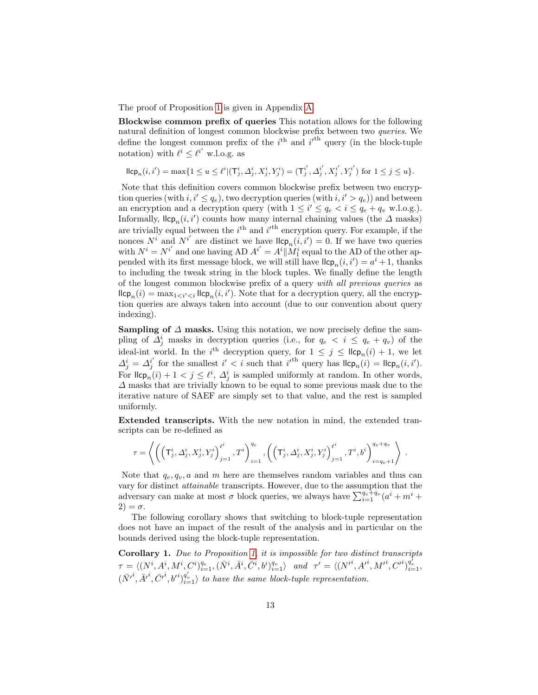The proof of Proposition [1](#page-11-0) is given in Appendix [A.](#page-21-14)

Blockwise common prefix of queries This notation allows for the following natural definition of longest common blockwise prefix between two queries. We define the longest common prefix of the  $i<sup>th</sup>$  and  $i'<sup>th</sup>$  query (in the block-tuple notation) with  $\ell^i \leq \ell^{i'}$  w.l.o.g. as

 $\mathsf{llcp}_n(i,i') = \max\{1 \leq u \leq \ell^i | (\mathsf{T}^i_j, \Delta^i_j, X^i_j, Y^i_j) = (\mathsf{T}^{i'}_j, \Delta^{i'}_j, X^{i'}_j, Y^{i'}_j) \text{ for } 1 \leq j \leq u\}.$ 

Note that this definition covers common blockwise prefix between two encryption queries (with  $i, i' \leq q_e$ ), two decryption queries (with  $i, i' > q_e$ )) and between an encryption and a decryption query (with  $1 \leq i' \leq q_e < i \leq q_e + q_v \text{ w.l.o.g.}$ ). Informally,  $\mathsf{llcp}_n(i,i')$  counts how many internal chaining values (the  $\Delta$  masks) are trivially equal between the  $i<sup>th</sup>$  and  $i<sup>th</sup>$  encryption query. For example, if the nonces  $N^i$  and  $N^{i'}$  are distinct we have  $\mathsf{llop}_n(i, i') = 0$ . If we have two queries with  $N^i = N^{i'}$  and one having AD  $A^{i'} = A^i || M_1^i$  equal to the AD of the other appended with its first message block, we will still have  $\mathsf{llcp}_n(i,i') = a^i + 1$ , thanks to including the tweak string in the block tuples. We finally define the length of the longest common blockwise prefix of a query with all previous queries as  $\mathsf{llcp}_n(i) = \max_{1 \le i' \le i} \mathsf{llcp}_n(i, i').$  Note that for a decryption query, all the encryption queries are always taken into account (due to our convention about query indexing).

Sampling of  $\Delta$  masks. Using this notation, we now precisely define the sampling of  $\Delta_j^i$  masks in decryption queries (i.e., for  $q_e < i \leq q_e + q_v$ ) of the ideal-int world. In the i<sup>th</sup> decryption query, for  $1 \leq j \leq \mathsf{llcp}_n(i) + 1$ , we let  $\Delta_j^i = \Delta_j^{i'}$  for the smallest  $i' < i$  such that  $i'^{th}$  query has  $\mathsf{llcp}_n(i) = \mathsf{llcp}_n(i,i')$ . For  $\mathsf{llcp}_n(i) + 1 < j \leq \ell^i$ ,  $\Delta_j^i$  is sampled uniformly at random. In other words,  $\Delta$  masks that are trivially known to be equal to some previous mask due to the iterative nature of SAEF are simply set to that value, and the rest is sampled uniformly.

Extended transcripts. With the new notation in mind, the extended transcripts can be re-defined as

$$
\tau = \left\langle \left( \left( \mathbf{T}_j^i, \Delta_j^i, X_j^i, Y_j^i \right)_{j=1}^{\ell^i}, T^i \right)_{i=1}^{q_e}, \left( \left( \mathbf{T}_j^i, \Delta_j^i, X_j^i, Y_j^i \right)_{j=1}^{\ell^i}, T^i, b^i \right)_{i=q_e+1}^{q_e+q_v} \right\rangle \ .
$$

Note that  $q_e, q_v, a$  and m here are themselves random variables and thus can vary for distinct attainable transcripts. However, due to the assumption that the adversary can make at most  $\sigma$  block queries, we always have  $\sum_{i=1}^{q_e+q_v} (a^i + m^i +$  $2) = \sigma.$ 

The following corollary shows that switching to block-tuple representation does not have an impact of the result of the analysis and in particular on the bounds derived using the block-tuple representation.

Corollary 1. Due to Proposition [1,](#page-11-0) it is impossible for two distinct transcripts  $\tau = \langle (N^{i}, A^{i}, M^{i}, C^{i})_{i=1}^{q_c}, (\bar{N}^{i}, \bar{A}^{i}, \bar{C}^{i}, b^{i})_{i=1}^{q_v} \rangle$  and  $\tau' = \langle (N^{\prime^{i}}, {A^{\prime}}^{i}, M^{\prime^{i}}, {C^{\prime}}^{i})_{i=1}^{q_c^{i}},$  $(\bar{N'}^i, \bar{A'}^i, \bar{C'}^i, b'^i)_{i=1}^{q'_v}$  to have the same block-tuple representation.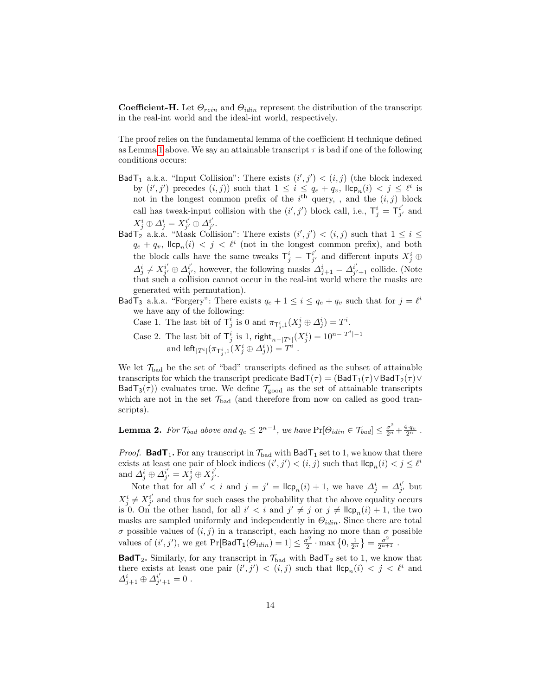**Coefficient-H.** Let  $\Theta_{rein}$  and  $\Theta_{idin}$  represent the distribution of the transcript in the real-int world and the ideal-int world, respectively.

The proof relies on the fundamental lemma of the coefficient H technique defined as Lemma [1](#page-4-0) above. We say an attainable transcript  $\tau$  is bad if one of the following conditions occurs:

- BadT<sub>1</sub> a.k.a. "Input Collision": There exists  $(i', j') < (i, j)$  (the block indexed by  $(i', j')$  precedes  $(i, j)$  such that  $1 \leq i \leq q_e + q_v$ ,  $\mathsf{llcp}_n(i) < j \leq \ell^i$  is not in the longest common prefix of the  $i<sup>th</sup>$  query, , and the  $(i, j)$  block call has tweak-input collision with the  $(i', j')$  block call, i.e.,  $\mathsf{T}_j^i = \mathsf{T}_{j'}^{i'}$  $i_j^{\prime}$  and  $X_j^i \oplus \Delta_j^i = X_{j'}^{i'} \oplus \Delta_{j'}^{i'}.$
- Bad $\overline{\mathsf{T}_2}$  a.k.a. "Mask Collision": There exists  $(i',j') < (i,j)$  such that  $1 \leq i \leq j$  $q_e + q_v$ ,  $\mathsf{llcp}_n(i) < j < \ell^i$  (not in the longest common prefix), and both the block calls have the same tweaks  $T_j^i = T_{j'}^{i'}$  $j'$  and different inputs  $X_j^i \oplus$  $\Delta_j^i \neq X_{j'}^{i'} \oplus \Delta_{j'}^{i'}$ , however, the following masks  $\Delta_{j+1}^i = \Delta_{j'+1}^{i'}$  collide. (Note that such a collision cannot occur in the real-int world where the masks are generated with permutation).
- BadT<sub>3</sub> a.k.a. "Forgery": There exists  $q_e + 1 \leq i \leq q_e + q_v$  such that for  $j = \ell^i$ we have any of the following:
	- Case 1. The last bit of  $\mathsf{T}_j^i$  is 0 and  $\pi_{\mathsf{T}_j^i,1}(X_j^i \oplus \Delta_j^i) = T^i$ .
	- Case 2. The last bit of  $\mathsf{T}_j^i$  is 1, right $_{n-|T^i|}(X_j^i) = 10^{n-|T^i|-1}$ and  $\mathsf{left}_{|T^{i}|}(\pi_{\mathsf{T}^{i}_j,1}(X^i_j\oplus \varDelta^i_j))=T^i$  .

We let  $\mathcal{T}_{bad}$  be the set of "bad" transcripts defined as the subset of attainable transcripts for which the transcript predicate BadT $(\tau) = (B \text{ad}T_1(\tau) \vee B \text{ad}T_2(\tau) \vee$  $BadT_3(\tau)$ ) evaluates true. We define  $\mathcal{T}_{good}$  as the set of attainable transcripts which are not in the set  $\mathcal{T}_{bad}$  (and therefore from now on called as good transcripts).

<span id="page-13-0"></span>**Lemma 2.** For  $\mathcal{T}_{bad}$  above and  $q_e \leq 2^{n-1}$ , we have  $Pr[\Theta_{idin} \in \mathcal{T}_{bad}] \leq \frac{\sigma^2}{2^n} + \frac{4 \cdot q_v}{2^n}$ .

*Proof.* BadT<sub>1</sub>. For any transcript in  $\mathcal{T}_{bad}$  with BadT<sub>1</sub> set to 1, we know that there exists at least one pair of block indices  $(i', j') < (i, j)$  such that  $\mathsf{llcp}_n(i) < j \leq \ell^i$ and  $\Delta^i_j \oplus \Delta^{i'}_{j'} = X^i_j \oplus X^{i'}_{j'}.$ 

Note that for all  $i' < i$  and  $j = j' = \mathsf{llcp}_n(i) + 1$ , we have  $\Delta_j^i = \Delta_{j'}^{i'}$  but  $X_j^i \neq X_{j'}^{i'}$  and thus for such cases the probability that the above equality occurs is 0. On the other hand, for all  $i' < i$  and  $j' \neq j$  or  $j \neq \mathsf{llcp}_n(i) + 1$ , the two masks are sampled uniformly and independently in  $\Theta_{idin}$ . Since there are total  $\sigma$  possible values of  $(i, j)$  in a transcript, each having no more than  $\sigma$  possible values of  $(i', j')$ , we get Pr[Bad $\mathsf{T}_1(\Theta_{idin}) = 1 \leq \frac{\sigma^2}{2}$  $\frac{\sigma^2}{2} \cdot \max\left\{0, \frac{1}{2^n}\right\} = \frac{\sigma^2}{2^{n+1}}$ .

**BadT**<sub>2</sub>. Similarly, for any transcript in  $\mathcal{T}_{bad}$  with BadT<sub>2</sub> set to 1, we know that there exists at least one pair  $(i',j') \langle (i,j) \rangle$  such that  $\mathsf{llop}_n(i) \langle j \rangle \langle (i',j') \rangle$  $\Delta_{j+1}^i \oplus \Delta_{j'+1}^{i'} = 0$ .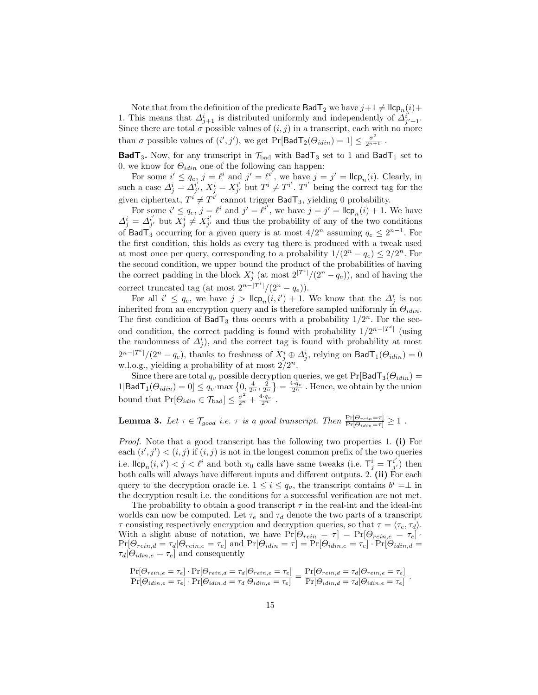Note that from the definition of the predicate  $\text{BadT}_2$  we have  $j+1 \neq \text{llcp}_n(i)+1$ 1. This means that  $\Delta_{j+1}^i$  is distributed uniformly and independently of  $\Delta_{j'+1}^{i'}$ . Since there are total  $\sigma$  possible values of  $(i, j)$  in a transcript, each with no more than  $\sigma$  possible values of  $(i', j')$ , we get Pr[BadT<sub>2</sub>( $\Theta_{idin}$ ) = 1]  $\leq \frac{\sigma^2}{2^{n+1}}$ .

**BadT**<sub>3</sub>. Now, for any transcript in  $\mathcal{T}_{bad}$  with BadT<sub>3</sub> set to 1 and BadT<sub>1</sub> set to 0, we know for  $\Theta_{idin}$  one of the following can happen:

For some  $i' \leq q_e$ ,  $j = \ell^i$  and  $j' = \ell^{i'}$ , we have  $j = j' = \mathsf{Ilop}_n(i)$ . Clearly, in such a case  $\Delta_j^i = \Delta_{j'}^{i'}, X_j^i = X_{j'}^{i'}$  but  $T^i \neq T^{i'}$ .  $T^{i'}$  being the correct tag for the given ciphertext,  $T^i \neq T^{i'}$  cannot trigger Bad $\mathsf{T}_3$ , yielding 0 probability.

For some  $i' \leq q_e$ ,  $j = \ell^i$  and  $j' = \ell^{i'}$ , we have  $j = j' = \mathsf{llcp}_n(i) + 1$ . We have  $\Delta_j^i = \Delta_{j'}^{i'}$  but  $\overline{X_j^i} \neq \overline{X_{j'}^{i'}}$  and thus the probability of any of the two conditions of Bad $\mathsf{T}_3$  occurring for a given query is at most  $4/2^n$  assuming  $q_e \leq 2^{n-1}$ . For the first condition, this holds as every tag there is produced with a tweak used at most once per query, corresponding to a probability  $1/(2^n - q_e) \leq 2/2^n$ . For the second condition, we upper bound the product of the probabilities of having the correct padding in the block  $X_j^i$  (at most  $2^{|T^i|}/(2^n-q_e)$ ), and of having the correct truncated tag (at most  $2^{n-|T^i|}/(2^n - q_e)$ ).

For all  $i' \leq q_e$ , we have  $j > \mathsf{llcp}_n(i, i') + 1$ . We know that the  $\Delta_j^i$  is not inherited from an encryption query and is therefore sampled uniformly in  $\Theta_{idin}$ . The first condition of  $BadT_3$  thus occurs with a probability  $1/2^n$ . For the second condition, the correct padding is found with probability  $1/2^{n-|T^i|}$  (using the randomness of  $\Delta_j^i$ ), and the correct tag is found with probability at most  $2^{n-|T^i|}/(2^n-q_e)$ , thanks to freshness of  $X^i_j\oplus \Delta^i_j$ , relying on Bad ${\sf T}_1(\Theta_{idin})=0$ w.l.o.g., yielding a probability of at most  $2/2^n$ .

Since there are total  $q_v$  possible decryption queries, we get Pr[BadT<sub>3</sub>( $\Theta_{idin}$ ) =  $1|\text{BadT}_1(\Theta_{idin})=0] \le q_v \cdot \max\left\{0, \frac{4}{2^n}, \frac{2}{2^n}\right\} = \frac{4 \cdot q_v}{2^n}$ . Hence, we obtain by the union bound that  $Pr[\Theta_{idin} \in \mathcal{T}_{bad}] \leq \frac{\sigma^2}{2^n} + \frac{4 \cdot q_v}{2^n}$ .

<span id="page-14-0"></span>**Lemma 3.** Let  $\tau \in \mathcal{T}_{good}$  i.e.  $\tau$  is a good transcript. Then  $\frac{\Pr[\Theta_{rein}=\tau]}{\Pr[\Theta_{idin}=\tau]} \geq 1$ .

Proof. Note that a good transcript has the following two properties 1. (i) For each  $(i', j') < (i, j)$  if  $(i, j)$  is not in the longest common prefix of the two queries i.e.  $\mathsf{llcp}_n(i, i') < j < \ell^i$  and both  $\pi_0$  calls have same tweaks (i.e.  $\mathsf{T}^i_j = \mathsf{T}^{i'}_{j'}$  $i'_{j'}$ ) then both calls will always have different inputs and different outputs. 2. (ii) For each query to the decryption oracle i.e.  $1 \leq i \leq q_v$ , the transcript contains  $b^i = \perp$  in the decryption result i.e. the conditions for a successful verification are not met.

The probability to obtain a good transcript  $\tau$  in the real-int and the ideal-int worlds can now be computed. Let  $\tau_e$  and  $\tau_d$  denote the two parts of a transcript  $\tau$  consisting respectively encryption and decryption queries, so that  $\tau = \langle \tau_e, \tau_d \rangle$ . With a slight abuse of notation, we have  $Pr[\Theta_{rein} = \tau] = Pr[\Theta_{rein,e} = \tau_e]$ .  $Pr[\Theta_{rein,d} = \tau_d | \Theta_{rein,e} = \tau_e]$  and  $Pr[\Theta_{idin} = \tau] = Pr[\Theta_{idin,e} = \tau_e] \cdot Pr[\Theta_{idin,d} = \tau_e]$  $\tau_d|\Theta_{idin,e} = \tau_e]$  and consequently

$$
\frac{\Pr[\Theta_{rein,e} = \tau_e] \cdot \Pr[\Theta_{rein,d} = \tau_d | \Theta_{rein,e} = \tau_e]}{\Pr[\Theta_{idin,e} = \tau_e] \cdot \Pr[\Theta_{idin,d} = \tau_d | \Theta_{idin,e} = \tau_e]} = \frac{\Pr[\Theta_{rein,d} = \tau_d | \Theta_{rein,e} = \tau_e]}{\Pr[\Theta_{idin,d} = \tau_d | \Theta_{idin,e} = \tau_e]}.
$$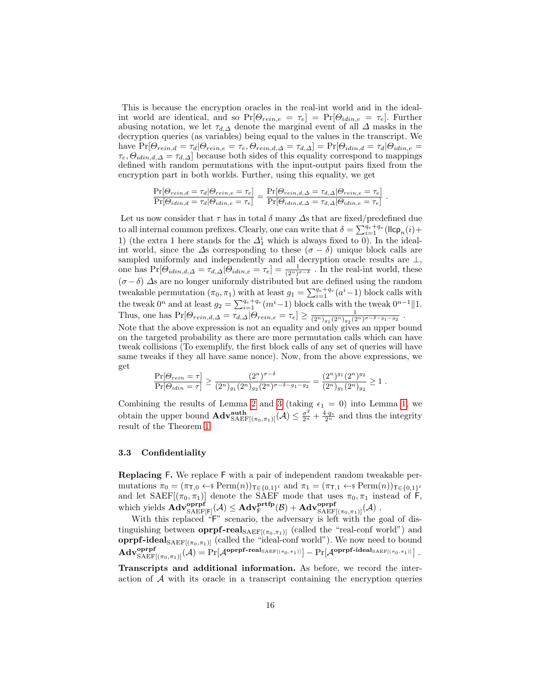This is because the encryption oracles in the real-int world and in the idealint world are identical, and so  $Pr[\Theta_{reine} = \tau_e] = Pr[\Theta_{idine} = \tau_e]$ . Further abusing notation, we let  $\tau_{d,\Delta}$  denote the marginal event of all  $\Delta$  masks in the decryption queries (as variables) being equal to the values in the transcript. We have  $Pr[\Theta_{rein,d} = \tau_d | \Theta_{rein,e} = \tau_e, \Theta_{rein,d,\Delta} = \tau_{d,\Delta}] = Pr[\Theta_{idin,d} = \tau_d | \Theta_{idin,e} =$  $\tau_e, \Theta_{idin,d,\Delta} = \tau_{d,\Delta}$  because both sides of this equality correspond to mappings defined with random permutations with the input-output pairs fixed from the encryption part in both worlds. Further, using this equality, we get

$$
\frac{\Pr[\Theta_{rein,d} = \tau_d | \Theta_{rein,e} = \tau_e]}{\Pr[\Theta_{idin,d} = \tau_d | \Theta_{idin,e} = \tau_e]} = \frac{\Pr[\Theta_{rein,d,\Delta} = \tau_{d,\Delta} | \Theta_{rein,e} = \tau_e]}{\Pr[\Theta_{idin,d,\Delta} = \tau_{d,\Delta} | \Theta_{idin,e} = \tau_e]}.
$$

Let us now consider that  $\tau$  has in total  $\delta$  many  $\Delta$ s that are fixed/predefined due to all internal common prefixes. Clearly, one can write that  $\delta = \sum_{i=1}^{q_e+q_v} (\mathsf{llcp}_n(i) +$ 1) (the extra 1 here stands for the  $\Delta_1^i$  which is always fixed to 0). In the idealint world, since the  $\Delta s$  corresponding to these  $(\sigma - \delta)$  unique block calls are sampled uniformly and independently and all decryption oracle results are  $\perp$ , one has  $Pr[\Theta_{idin,d,\Delta} = \tau_{d,\Delta} | \hat{\Theta}_{idin,e} = \tau_e] = \frac{1}{(2^n)^{\sigma-\delta}}$ . In the real-int world, these  $(\sigma-\delta)$   $\varDelta s$  are no longer uniformly distributed but are defined using the random tweakable permutation  $(\pi_0, \pi_1)$  with at least  $g_1 = \sum_{i=1}^{q_e+q_v} (a^i-1)$  block calls with the tweak  $0^n$  and at least  $g_2 = \sum_{i=1}^{q_e+q_v} (m^i-1)$  block calls with the tweak  $0^{n-1}$ ||1. Thus, one has  $Pr[\Theta_{rein,d,\Delta} = \tau_{d,\Delta} | \Theta_{rein,e} = \tau_e] \ge \frac{1}{(2^n)_{g_1}(2^n)_{g_2}(2^n)^{\sigma-\delta-g_1-g_2}}$ . Note that the above expression is not an equality and only gives an upper bound

on the targeted probability as there are more permutation calls which can have tweak collisions (To exemplify, the first block calls of any set of queries will have same tweaks if they all have same nonce). Now, from the above expressions, we get

$$
\frac{\Pr[\Theta_{rein} = \tau]}{\Pr[\Theta_{idin} = \tau]} \ge \frac{(2^n)^{\sigma-\delta}}{(2^n)_{g_1}(2^n)_{g_2}(2^n)^{\sigma-\delta-g_1-g_2}} = \frac{(2^n)^{g_1}(2^n)^{g_2}}{(2^n)_{g_1}(2^n)_{g_2}} \ge 1.
$$

Combining the results of Lemma [2](#page-13-0) and [3](#page-14-0) (taking  $\epsilon_1 = 0$ ) into Lemma [1,](#page-4-0) we obtain the upper bound  $\mathbf{Adv}_{\mathsf{SAEF}[(\pi_0, \pi_1)]}^{\mathbf{auth}}(\mathcal{A}) \leq \frac{\sigma^2}{2^n} + \frac{4 \cdot q_v}{2^n}$  and thus the integrity result of the Theorem [1.](#page-8-0)

## <span id="page-15-0"></span>3.3 Confidentiality

Replacing F. We replace F with a pair of independent random tweakable permutations  $\pi_0 = (\pi_{\mathsf{T},0} \leftarrow \$ \text{Perm}(n))_{\mathsf{T} \in \{0,1\}^t}$  and  $\pi_1 = (\pi_{\mathsf{T},1} \leftarrow \$ \text{Perm}(n))_{\mathsf{T} \in \{0,1\}^t}$ and let  $SAEF[(\pi_0, \pi_1)]$  denote the SAEF mode that uses  $\pi_0, \pi_1$  instead of F, which yields  $\mathbf{Adv}_{\mathrm{SAEF}[\mathsf{F}]}^{\mathbf{oprpf}}(\mathcal{A}) \leq \mathbf{Adv}_{\mathsf{F}}^{\mathbf{prtfp}}(\mathcal{B}) + \mathbf{Adv}_{\mathrm{SAEF}[(\pi_0,\pi_1)]}^{\mathbf{oprpf}}(\mathcal{A})\;.$ 

With this replaced " $F''$  scenario, the adversary is left with the goal of distinguishing between **oprpf-real** $_{SAEF[(\pi_0,\pi_1)]}$  (called the "real-conf world") and **oprpf-ideal**<sub>SAEF[( $\pi_0$ , $\pi_1$ )] (called the "ideal-conf world"). We now need to bound</sub>  $\mathbf{Adv}_{\mathrm{SAEF}[(\pi_0,\pi_1)]}^{\mathbf{oprpf}}(\mathcal{A}) = \Pr[\mathcal{A}^{\mathbf{oprpf-real}_{\mathrm{SAEF}[(\pi_0,\pi_1)]}}] - \Pr[\mathcal{A}^{\mathbf{oprpf-ideal}_{\mathrm{SAEF}[(\pi_0,\pi_1)]}}] \;.$ 

Transcripts and additional information. As before, we record the interaction of  $A$  with its oracle in a transcript containing the encryption queries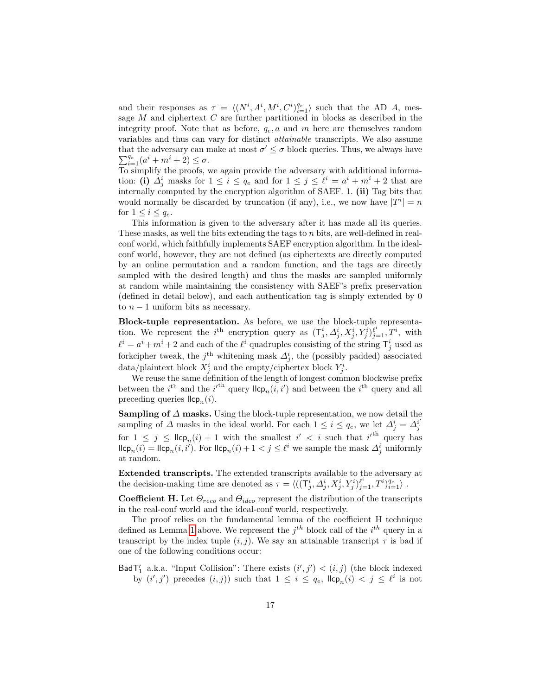and their responses as  $\tau = \langle (N^i, A^i, M^i, C^i)_{i=1}^{q_e} \rangle$  such that the AD A, message  $M$  and ciphertext  $C$  are further partitioned in blocks as described in the integrity proof. Note that as before,  $q_e, a$  and m here are themselves random variables and thus can vary for distinct attainable transcripts. We also assume that the adversary can make at most  $\sigma' \leq \sigma$  block queries. Thus, we always have  $\sum_{i=1}^{q_e} (a^i + m^i + 2) \leq \sigma.$ 

To simplify the proofs, we again provide the adversary with additional information: (i)  $\Delta_j^i$  masks for  $1 \leq i \leq q_e$  and for  $1 \leq j \leq \ell^i = a^i + m^i + 2$  that are internally computed by the encryption algorithm of SAEF. 1. (ii) Tag bits that would normally be discarded by truncation (if any), i.e., we now have  $|T^i| = n$ for  $1 \leq i \leq q_e$ .

This information is given to the adversary after it has made all its queries. These masks, as well the bits extending the tags to n bits, are well-defined in realconf world, which faithfully implements SAEF encryption algorithm. In the idealconf world, however, they are not defined (as ciphertexts are directly computed by an online permutation and a random function, and the tags are directly sampled with the desired length) and thus the masks are sampled uniformly at random while maintaining the consistency with SAEF's prefix preservation (defined in detail below), and each authentication tag is simply extended by 0 to  $n-1$  uniform bits as necessary.

Block-tuple representation. As before, we use the block-tuple representation. We represent the *i*<sup>th</sup> encryption query as  $(\mathsf{T}^i_j, \Delta^i_j, X^i_j, Y^i_j)_{j=1}^{\ell^i}, T^i$ , with  $\ell^i = a^i + m^i + 2$  and each of the  $\ell^i$  quadruples consisting of the string  $\mathsf{T}^i_j$  used as forkcipher tweak, the  $j<sup>th</sup>$  whitening mask  $\Delta_j^i$ , the (possibly padded) associated data/plaintext block  $X_j^i$  and the empty/ciphertex block  $Y_j^i$ .

We reuse the same definition of the length of longest common blockwise prefix between the *i*<sup>th</sup> and the *i*<sup>th</sup> query  $\mathsf{llop}_n(i, i')$  and between the *i*<sup>th</sup> query and all preceding queries  $\mathsf{llcp}_n(i)$ .

**Sampling of**  $\Delta$  **masks.** Using the block-tuple representation, we now detail the sampling of  $\Delta$  masks in the ideal world. For each  $1 \leq i \leq q_e$ , we let  $\Delta_j^i = \Delta_j^{i'}$ for  $1 \leq j \leq \mathsf{llcp}_n(i) + 1$  with the smallest  $i' < i$  such that  $i'^{th}$  query has  $\mathsf{llcp}_n(i) = \mathsf{llcp}_n(i,i').$  For  $\mathsf{llcp}_n(i) + 1 < j \leq \ell^i$  we sample the mask  $\varDelta_j^i$  uniformly at random.

Extended transcripts. The extended transcripts available to the adversary at the decision-making time are denoted as  $\tau = \langle ((\mathbf{T}_j^i, \Delta_j^i, X_j^i, Y_j^i)_{j=1}^{\ell^i}, T^i)_{i=1}^{q_e} \rangle$ .

**Coefficient H.** Let  $\Theta_{reco}$  and  $\Theta_{idco}$  represent the distribution of the transcripts in the real-conf world and the ideal-conf world, respectively.

The proof relies on the fundamental lemma of the coefficient H technique defined as Lemma [1](#page-4-0) above. We represent the  $j<sup>th</sup>$  block call of the  $i<sup>th</sup>$  query in a transcript by the index tuple  $(i, j)$ . We say an attainable transcript  $\tau$  is bad if one of the following conditions occur:

Bad $\mathsf{T}'_1$  a.k.a. "Input Collision": There exists  $(i',j') < (i,j)$  (the block indexed by  $(i', j')$  precedes  $(i, j)$ ) such that  $1 \leq i \leq q_e$ ,  $\mathsf{llcp}_n(i) < j \leq \ell^i$  is not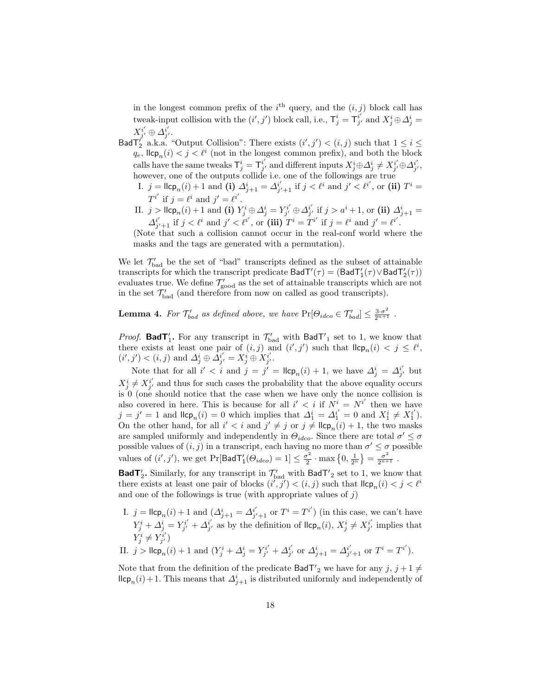in the longest common prefix of the  $i<sup>th</sup>$  query, and the  $(i, j)$  block call has tweak-input collision with the  $(i', j')$  block call, i.e.,  $T_j^i = T_{j'}^{i'}$  $j'$  and  $X_j^i \oplus \Delta_j^i =$  $X^{i'}_{j'} \oplus \Delta^{i'}_{j'}.$ 

- Bad $\mathsf{T}_2^{\prime}$  a.k.a. "Output Collision": There exists  $(i',j') < (i,j)$  such that  $1 \leq i \leq$  $q_e$ ,  $\mathsf{llcp}_n(i) < j < \ell^i$  (not in the longest common prefix), and both the block calls have the same tweaks  $T_j^i = T_{j'}^{i'}$  $j'$  and different inputs  $X_j^i \oplus \Delta_j^i \neq X_{j'}^{i'} \oplus \Delta_{j'}^{i'},$ however, one of the outputs collide i.e. one of the followings are true
	- I.  $j = \mathsf{llop}_n(i) + 1$  and (i)  $\Delta_{j+1}^i = \Delta_{j'+1}^{i'}$  if  $j < \ell^i$  and  $j' < \ell^{i'}$ , or (ii)  $T^i =$  $T^{i'}$  if  $j = \ell^i$  and  $j' = \ell^{i'}$ .
	- II.  $j > \mathsf{llcp}_n(i) + 1$  and (i)  $Y_j^i \oplus \Delta_j^i = Y_{j'}^{i'} \oplus \Delta_{j'}^{i'}$  if  $j > a^i + 1$ , or (ii)  $\Delta_{j+1}^i =$  $\Delta_{j'+1}^{i'}$  if  $j < \ell^i$  and  $j' < \ell^{i'}$ , or (iii)  $T^i = T^{i'}$  if  $j = \ell^i$  and  $j' = \ell^{i'}$ .

(Note that such a collision cannot occur in the real-conf world where the masks and the tags are generated with a permutation).

We let  $\mathcal{T}'_{bad}$  be the set of "bad" transcripts defined as the subset of attainable transcripts for which the transcript predicate  $\mathsf{BadT}'(\tau) = (\mathsf{BadT}'_1(\tau) \vee \mathsf{BadT}'_2(\tau))$ evaluates true. We define  $\mathcal{T}'_{\text{good}}$  as the set of attainable transcripts which are not in the set  $\mathcal{T}'_{bad}$  (and therefore from now on called as good transcripts).

<span id="page-17-0"></span>**Lemma 4.** For  $\mathcal{T}_{bad}$  as defined above, we have  $Pr[\Theta_{idco} \in \mathcal{T}_{bad}'] \leq \frac{3 \cdot \sigma^2}{2^{n+1}}$ .

*Proof.* BadT'<sub>1</sub>. For any transcript in  $\mathcal{T}'_{bad}$  with BadT'<sub>1</sub> set to 1, we know that there exists at least one pair of  $(i, j)$  and  $(i', j')$  such that  $\mathsf{llcp}_n(i) < j \leq \ell^i$ ,  $(i',j') < (i,j)$  and  $\Delta_j^i \oplus \tilde{\Delta_{j'}^{i'}} = X_j^i \oplus X_{j'}^{i'}$ .

Note that for all  $i' < i$  and  $j = j' = \mathsf{llcp}_n(i) + 1$ , we have  $\Delta_j^i = \Delta_{j'}^{i'}$  but  $X_j^i \neq X_{j'}^{i'}$  and thus for such cases the probability that the above equality occurs is 0 (one should notice that the case when we have only the nonce collision is also covered in here. This is because for all  $i' < i$  if  $N^i = N^{i'}$  then we have  $j = j' = 1$  and  $\mathsf{llcp}_n(i) = 0$  which implies that  $\Delta_1^i = \Delta_1^{i'} = 0$  and  $X_1^i \neq X_1^{i'}$ . On the other hand, for all  $i' < i$  and  $j' \neq j$  or  $j \neq \mathsf{llcp}_n(i) + 1$ , the two masks are sampled uniformly and independently in  $\Theta_{idco}$ . Since there are total  $\sigma' \leq \sigma$ possible values of  $(i, j)$  in a transcript, each having no more than  $\sigma' \leq \sigma$  possible values of  $(i', j')$ , we get Pr[BadT'<sub>1</sub> $(\Theta_{idco}) = 1 \leq \frac{\sigma^2}{2}$  $\frac{\sigma^2}{2} \cdot \max\left\{0, \frac{1}{2^n}\right\} = \frac{\sigma^2}{2^{n+1}}$ .

Bad $\mathsf{T}_2'$ . Similarly, for any transcript in  $\mathcal{T}'_{bad}$  with Bad $\mathsf{T}'_2$  set to 1, we know that there exists at least one pair of blocks  $(i', j') < (i, j)$  such that  $\mathsf{llcp}_n(i) < j < \ell^i$ and one of the followings is true (with appropriate values of  $j$ )

- I.  $j = \mathsf{llop}_n(i) + 1$  and  $(\Delta_{j+1}^i = \Delta_{j'+1}^{i'}$  or  $T^i = T^{i'}$ ) (in this case, we can't have  $Y_j^i + \Delta_j^i = Y_{j'}^{i'} + \Delta_{j'}^{i'}$  as by the definition of  $\mathsf{Ilop}_n(i)$ ,  $X_j^i \neq X_{j'}^{i'}$  implies that  $Y^i_j \neq Y^{i'}_{j'}$
- II.  $j > \mathsf{llcp}_n(i) + 1$  and  $(Y_j^i + \Delta_j^i = Y_{j'}^{i'} + \Delta_{j'}^{i'} \text{ or } \Delta_{j+1}^i = \Delta_{j'+1}^{i'} \text{ or } T^i = T^{i'}).$

Note that from the definition of the predicate  $\text{BadT}'_2$  we have for any  $j, j+1 \neq j$  $\mathsf{llcp}_n(i) + 1$ . This means that  $\Delta_{j+1}^i$  is distributed uniformly and independently of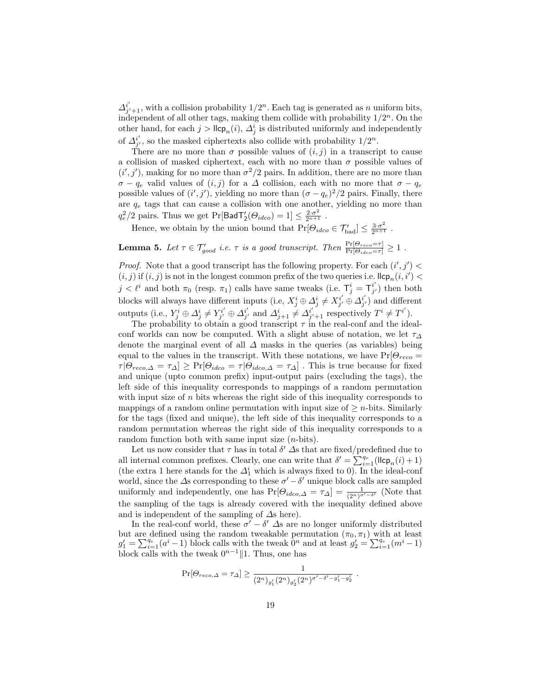$\Delta_{j'+1}^{i'}$ , with a collision probability  $1/2^n$ . Each tag is generated as n uniform bits, independent of all other tags, making them collide with probability  $1/2^n$ . On the other hand, for each  $j > \mathsf{llcp}_n(i)$ ,  $\Delta_j^i$  is distributed uniformly and independently of  $\Delta_{j'}^{i'}$ , so the masked ciphertexts also collide with probability  $1/2^{n}$ .

There are no more than  $\sigma$  possible values of  $(i, j)$  in a transcript to cause a collision of masked ciphertext, each with no more than  $\sigma$  possible values of  $(i', j')$ , making for no more than  $\sigma^2/2$  pairs. In addition, there are no more than  $\sigma - q_e$  valid values of  $(i, j)$  for a  $\Delta$  collision, each with no more that  $\sigma - q_e$ possible values of  $(i', j')$ , yielding no more than  $(\sigma - q_e)^2/2$  pairs. Finally, there are  $q_e$  tags that can cause a collision with one another, yielding no more than  $q_e^2/2$  pairs. Thus we get Pr[BadT<sub>2</sub> $(\Theta_{idco}) = 1 \leq \frac{2 \cdot \sigma^2}{2^{n+1}}$ .

Hence, we obtain by the union bound that  $Pr[\Theta_{idco} \in \mathcal{T}'_{bad}] \leq \frac{3 \cdot \sigma^2}{2^{n+1}}$ .

<span id="page-18-0"></span>**Lemma 5.** Let  $\tau \in \mathcal{T}'_{good}$  i.e.  $\tau$  is a good transcript. Then  $\frac{\Pr[\Theta_{reco}=\tau]}{\Pr[\Theta_{idec}=\tau]} \geq 1$ .

*Proof.* Note that a good transcript has the following property. For each  $(i', j')$  $(i,j)$  if  $(i,j)$  is not in the longest common prefix of the two queries i.e.  $\mathsf{llrp}_n(i,i') <$  $j < \ell^i$  and both  $\pi_0$  (resp.  $\pi_1$ ) calls have same tweaks (i.e.  $\mathsf{T}_j^i = \mathsf{T}_{j'}^{i'}$  $j'$ ) then both blocks will always have different inputs (i.e,  $X_j^i \oplus \Delta_j^i \neq X_{j'}^{i'} \oplus \Delta_{j'}^{i'}$ ) and different outputs (i.e.,  $Y_j^i \oplus \Delta_j^i \neq Y_{j'}^{i'} \oplus \Delta_{j'}^{i'}$  and  $\Delta_{j+1}^i \neq \Delta_{j'+1}^{i'}$  respectively  $T^i \neq T^{i'}$ ).

The probability to obtain a good transcript  $\tau$  in the real-conf and the idealconf worlds can now be computed. With a slight abuse of notation, we let  $\tau_A$ denote the marginal event of all  $\Delta$  masks in the queries (as variables) being equal to the values in the transcript. With these notations, we have  $Pr[\Theta_{reco} =$  $\tau | \Theta_{reco,\Delta} = \tau_{\Delta} | \geq \Pr[\Theta_{idco} = \tau | \Theta_{idco,\Delta} = \tau_{\Delta}]$ . This is true because for fixed and unique (upto common prefix) input-output pairs (excluding the tags), the left side of this inequality corresponds to mappings of a random permutation with input size of n bits whereas the right side of this inequality corresponds to mappings of a random online permutation with input size of  $\geq n$ -bits. Similarly for the tags (fixed and unique), the left side of this inequality corresponds to a random permutation whereas the right side of this inequality corresponds to a random function both with same input size  $(n\text{-bits})$ .

Let us now consider that  $\tau$  has in total  $\delta'$   $\Delta$ s that are fixed/predefined due to all internal common prefixes. Clearly, one can write that  $\delta' = \sum_{i=1}^{q_e} (\mathsf{llcp}_n(i) + 1)$ (the extra 1 here stands for the  $\Delta_1^i$  which is always fixed to 0). In the ideal-conf world, since the  $\Delta s$  corresponding to these  $\sigma' - \delta'$  unique block calls are sampled uniformly and independently, one has  $Pr[\Theta_{idco,\Delta} = \tau_{\Delta}] = \frac{1}{(2^n)^{\sigma'-\delta'}}$  (Note that the sampling of the tags is already covered with the inequality defined above and is independent of the sampling of  $\Delta s$  here).

In the real-conf world, these  $\sigma^{\tilde{\jmath}} - \delta'$   $\Delta s$  are no longer uniformly distributed but are defined using the random tweakable permutation  $(\pi_0, \pi_1)$  with at least  $g'_1 = \sum_{i=1}^{q_e} (a^i - 1)$  block calls with the tweak  $0^n$  and at least  $g'_2 = \sum_{i=1}^{q_e} (m^i - 1)$ block calls with the tweak  $0^{n-1}||1$ . Thus, one has

$$
\Pr[\Theta_{reco,\Delta} = \tau_{\Delta}] \ge \frac{1}{(2^n)_{g'_1}(2^n)_{g'_2}(2^n)^{\sigma' - \delta' - g'_1 - g'_2}}.
$$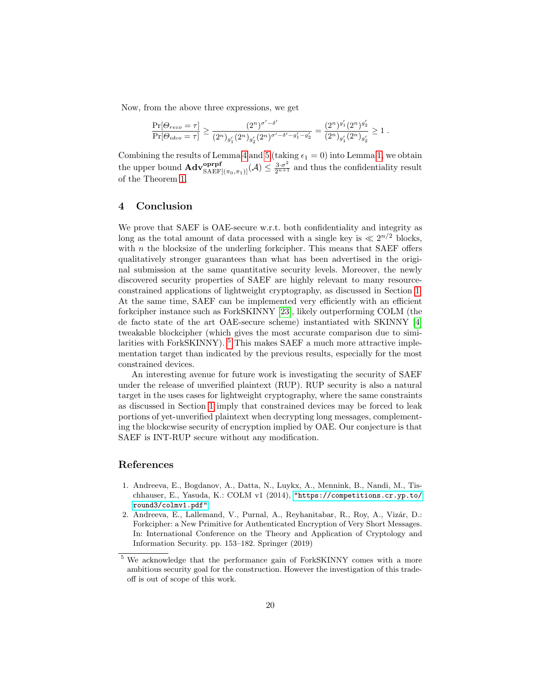Now, from the above three expressions, we get

$$
\frac{\Pr[\Theta_{reco} = \tau]}{\Pr[\Theta_{idco} = \tau]} \ge \frac{(2^n)^{\sigma'-\delta'}}{(2^n)_{g'_1} (2^n)_{g'_2} (2^n)^{\sigma'-\delta'-g'_1-g'_2}} = \frac{(2^n)^{g'_1} (2^n)^{g'_2}}{(2^n)_{g'_1} (2^n)_{g'_2}} \ge 1.
$$

Combining the results of Lemma [4](#page-17-0) and [5](#page-18-0) (taking  $\epsilon_1 = 0$ ) into Lemma [1,](#page-4-0) we obtain the upper bound  $\mathbf{Adv}_{\mathrm{SAEF}[(\pi_0,\pi_1)]}^{\text{opppf}}(\mathcal{A}) \le \frac{3 \cdot \sigma^2}{2^{n+1}}$  and thus the confidentiality result of the Theorem [1.](#page-8-0)

## 4 Conclusion

We prove that SAEF is OAE-secure w.r.t. both confidentiality and integrity as long as the total amount of data processed with a single key is  $\ll 2^{n/2}$  blocks, with  $n$  the blocksize of the underling forkcipher. This means that SAEF offers qualitatively stronger guarantees than what has been advertised in the original submission at the same quantitative security levels. Moreover, the newly discovered security properties of SAEF are highly relevant to many resourceconstrained applications of lightweight cryptography, as discussed in Section [1.](#page-0-0) At the same time, SAEF can be implemented very efficiently with an efficient forkcipher instance such as ForkSKINNY [\[23\]](#page-21-13), likely outperforming COLM (the de facto state of the art OAE-secure scheme) instantiated with SKINNY [\[4\]](#page-20-13) tweakable blockcipher (which gives the most accurate comparison due to simi-larities with ForkSKINNY). <sup>[5](#page-19-2)</sup> This makes SAEF a much more attractive implementation target than indicated by the previous results, especially for the most constrained devices.

An interesting avenue for future work is investigating the security of SAEF under the release of unverified plaintext (RUP). RUP security is also a natural target in the uses cases for lightweight cryptography, where the same constraints as discussed in Section [1](#page-0-0) imply that constrained devices may be forced to leak portions of yet-unverified plaintext when decrypting long messages, complementing the blockcwise security of encryption implied by OAE. Our conjecture is that SAEF is INT-RUP secure without any modification.

## References

- <span id="page-19-0"></span>1. Andreeva, E., Bogdanov, A., Datta, N., Luykx, A., Mennink, B., Nandi, M., Tischhauser, E., Yasuda, K.: COLM v1 (2014), ["https://competitions.cr.yp.to/]("https://competitions.cr.yp.to/round3/colmv1.pdf") [round3/colmv1.pdf"]("https://competitions.cr.yp.to/round3/colmv1.pdf")
- <span id="page-19-1"></span>2. Andreeva, E., Lallemand, V., Purnal, A., Reyhanitabar, R., Roy, A., Vizár, D.: Forkcipher: a New Primitive for Authenticated Encryption of Very Short Messages. In: International Conference on the Theory and Application of Cryptology and Information Security. pp. 153–182. Springer (2019)

<span id="page-19-2"></span><sup>5</sup> We acknowledge that the performance gain of ForkSKINNY comes with a more ambitious security goal for the construction. However the investigation of this tradeoff is out of scope of this work.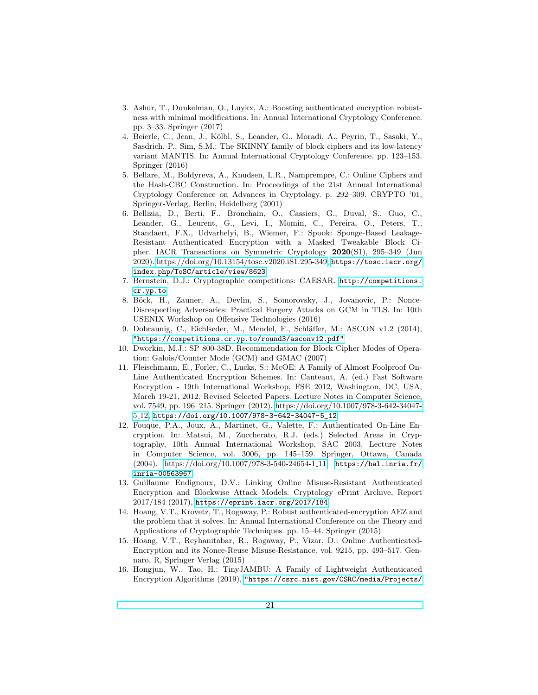- <span id="page-20-10"></span>3. Ashur, T., Dunkelman, O., Luykx, A.: Boosting authenticated encryption robustness with minimal modifications. In: Annual International Cryptology Conference. pp. 3–33. Springer (2017)
- <span id="page-20-13"></span>4. Beierle, C., Jean, J., Kölbl, S., Leander, G., Moradi, A., Peyrin, T., Sasaki, Y., Sasdrich, P., Sim, S.M.: The SKINNY family of block ciphers and its low-latency variant MANTIS. In: Annual International Cryptology Conference. pp. 123–153. Springer (2016)
- <span id="page-20-12"></span>5. Bellare, M., Boldyreva, A., Knudsen, L.R., Namprempre, C.: Online Ciphers and the Hash-CBC Construction. In: Proceedings of the 21st Annual International Cryptology Conference on Advances in Cryptology. p. 292–309. CRYPTO '01, Springer-Verlag, Berlin, Heidelberg (2001)
- <span id="page-20-9"></span>6. Bellizia, D., Berti, F., Bronchain, O., Cassiers, G., Duval, S., Guo, C., Leander, G., Leurent, G., Levi, I., Momin, C., Pereira, O., Peters, T., Standaert, F.X., Udvarhelyi, B., Wiemer, F.: Spook: Sponge-Based Leakage-Resistant Authenticated Encryption with a Masked Tweakable Block Cipher. IACR Transactions on Symmetric Cryptology 2020(S1), 295–349 (Jun 2020). [https://doi.org/10.13154/tosc.v2020.iS1.295-349,](https://doi.org/10.13154/tosc.v2020.iS1.295-349) [https://tosc.iacr.org/](https://tosc.iacr.org/index.php/ToSC/article/view/8623) [index.php/ToSC/article/view/8623](https://tosc.iacr.org/index.php/ToSC/article/view/8623)
- <span id="page-20-0"></span>7. Bernstein, D.J.: Cryptographic competitions: CAESAR. [http://competitions.](http://competitions.cr.yp.to) [cr.yp.to](http://competitions.cr.yp.to)
- <span id="page-20-4"></span>8. Böck, H., Zauner, A., Devlin, S., Somorovsky, J., Jovanovic, P.: Nonce-Disrespecting Adversaries: Practical Forgery Attacks on GCM in TLS. In: 10th USENIX Workshop on Offensive Technologies (2016)
- <span id="page-20-1"></span>9. Dobraunig, C., Eichlseder, M., Mendel, F., Schläffer, M.: ASCON v1.2 (2014), <"https://competitions.cr.yp.to/round3/asconv12.pdf">
- <span id="page-20-5"></span>10. Dworkin, M.J.: SP 800-38D. Recommendation for Block Cipher Modes of Operation: Galois/Counter Mode (GCM) and GMAC (2007)
- <span id="page-20-2"></span>11. Fleischmann, E., Forler, C., Lucks, S.: McOE: A Family of Almost Foolproof On-Line Authenticated Encryption Schemes. In: Canteaut, A. (ed.) Fast Software Encryption - 19th International Workshop, FSE 2012, Washington, DC, USA, March 19-21, 2012. Revised Selected Papers. Lecture Notes in Computer Science, vol. 7549, pp. 196–215. Springer (2012). [https://doi.org/10.1007/978-3-642-34047-](https://doi.org/10.1007/978-3-642-34047-5_12) 5 [12,](https://doi.org/10.1007/978-3-642-34047-5_12) [https://doi.org/10.1007/978-3-642-34047-5\\_12](https://doi.org/10.1007/978-3-642-34047-5_12)
- <span id="page-20-8"></span>12. Fouque, P.A., Joux, A., Martinet, G., Valette, F.: Authenticated On-Line Encryption. In: Matsui, M., Zuccherato, R.J. (eds.) Selected Areas in Cryptography, 10th Annual International Workshop, SAC 2003. Lecture Notes in Computer Science, vol. 3006, pp. 145–159. Springer, Ottawa, Canada (2004). [https://doi.org/10.1007/978-3-540-24654-1](https://doi.org/10.1007/978-3-540-24654-1_11) 11, [https://hal.inria.fr/](https://hal.inria.fr/inria-00563967) [inria-00563967](https://hal.inria.fr/inria-00563967)
- <span id="page-20-7"></span>13. Guillaume Endignoux, D.V.: Linking Online Misuse-Resistant Authenticated Encryption and Blockwise Attack Models. Cryptology ePrint Archive, Report 2017/184 (2017), <https://eprint.iacr.org/2017/184>
- <span id="page-20-6"></span>14. Hoang, V.T., Krovetz, T., Rogaway, P.: Robust authenticated-encryption AEZ and the problem that it solves. In: Annual International Conference on the Theory and Applications of Cryptographic Techniques. pp. 15–44. Springer (2015)
- <span id="page-20-3"></span>15. Hoang, V.T., Reyhanitabar, R., Rogaway, P., Vizar, D.: Online Authenticated-Encryption and its Nonce-Reuse Misuse-Resistance. vol. 9215, pp. 493–517. Gennaro, R, Springer Verlag (2015)
- <span id="page-20-11"></span>16. Hongjun, W., Tao, H.: TinyJAMBU: A Family of Lightweight Authenticated Encryption Algorithms (2019), ["https://csrc.nist.gov/CSRC/media/Projects/]("https://csrc.nist.gov/CSRC/media/Projects/Lightweight-Cryptography/documents/round-1/spec-doc/TinyJAMBU-spec.pdf")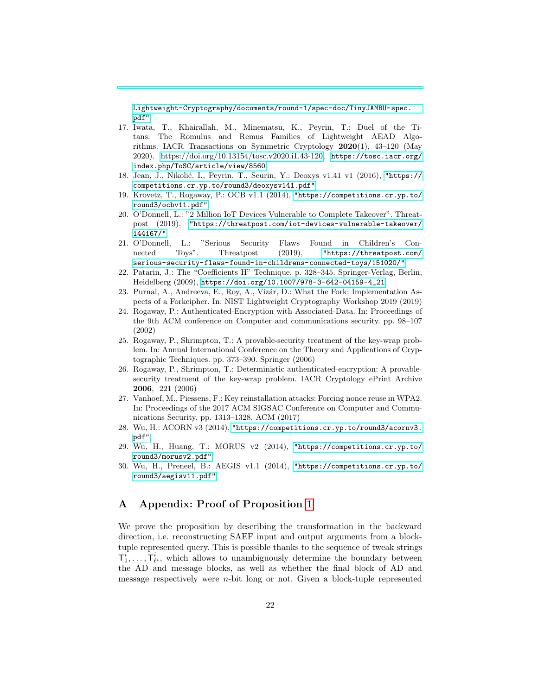[Lightweight-Cryptography/documents/round-1/spec-doc/TinyJAMBU-spec.]("https://csrc.nist.gov/CSRC/media/Projects/Lightweight-Cryptography/documents/round-1/spec-doc/TinyJAMBU-spec.pdf") [pdf"]("https://csrc.nist.gov/CSRC/media/Projects/Lightweight-Cryptography/documents/round-1/spec-doc/TinyJAMBU-spec.pdf")

- <span id="page-21-11"></span>17. Iwata, T., Khairallah, M., Minematsu, K., Peyrin, T.: Duel of the Titans: The Romulus and Remus Families of Lightweight AEAD Algorithms. IACR Transactions on Symmetric Cryptology 2020(1), 43–120 (May 2020). [https://doi.org/10.13154/tosc.v2020.i1.43-120,](https://doi.org/10.13154/tosc.v2020.i1.43-120) [https://tosc.iacr.org/](https://tosc.iacr.org/index.php/ToSC/article/view/8560) [index.php/ToSC/article/view/8560](https://tosc.iacr.org/index.php/ToSC/article/view/8560)
- <span id="page-21-4"></span>18. Jean, J., Nikolić, I., Peyrin, T., Seurin, Y.: Deoxys v1.41 v1 (2016), ["https://]("https://competitions.cr.yp.to/round3/deoxysv141.pdf") [competitions.cr.yp.to/round3/deoxysv141.pdf"]("https://competitions.cr.yp.to/round3/deoxysv141.pdf")
- <span id="page-21-3"></span>19. Krovetz, T., Rogaway, P.: OCB v1.1 (2014), ["https://competitions.cr.yp.to/]("https://competitions.cr.yp.to/round3/ocbv11.pdf") [round3/ocbv11.pdf"]("https://competitions.cr.yp.to/round3/ocbv11.pdf")
- <span id="page-21-9"></span>20. O'Donnell, L.: "2 Million IoT Devices Vulnerable to Complete Takeover". Threatpost (2019), ["https://threatpost.com/iot-devices-vulnerable-takeover/]("https://threatpost.com/iot-devices-vulnerable-takeover/144167/") [144167/"]("https://threatpost.com/iot-devices-vulnerable-takeover/144167/")
- <span id="page-21-10"></span>21. O'Donnell, L.: "Serious Security Flaws Found in Children's Connected Toys". Threatpost (2019), ["https://threatpost.com/]("https://threatpost.com/serious-security-flaws-found-in-childrens-connected-toys/151020/") [serious-security-flaws-found-in-childrens-connected-toys/151020/"]("https://threatpost.com/serious-security-flaws-found-in-childrens-connected-toys/151020/")
- <span id="page-21-12"></span>22. Patarin, J.: The "Coefficients H" Technique, p. 328–345. Springer-Verlag, Berlin, Heidelberg (2009), [https://doi.org/10.1007/978-3-642-04159-4\\_21](https://doi.org/10.1007/978-3-642-04159-4_21)
- <span id="page-21-13"></span>23. Purnal, A., Andreeva, E., Roy, A., Vizár, D.: What the Fork: Implementation Aspects of a Forkcipher. In: NIST Lightweight Cryptography Workshop 2019 (2019)
- <span id="page-21-0"></span>24. Rogaway, P.: Authenticated-Encryption with Associated-Data. In: Proceedings of the 9th ACM conference on Computer and communications security. pp. 98–107 (2002)
- <span id="page-21-8"></span>25. Rogaway, P., Shrimpton, T.: A provable-security treatment of the key-wrap problem. In: Annual International Conference on the Theory and Applications of Cryptographic Techniques. pp. 373–390. Springer (2006)
- <span id="page-21-6"></span>26. Rogaway, P., Shrimpton, T.: Deterministic authenticated-encryption: A provablesecurity treatment of the key-wrap problem. IACR Cryptology ePrint Archive 2006, 221 (2006)
- <span id="page-21-7"></span>27. Vanhoef, M., Piessens, F.: Key reinstallation attacks: Forcing nonce reuse in WPA2. In: Proceedings of the 2017 ACM SIGSAC Conference on Computer and Communications Security. pp. 1313–1328. ACM (2017)
- <span id="page-21-1"></span>28. Wu, H.: ACORN v3 (2014), ["https://competitions.cr.yp.to/round3/acornv3.]("https://competitions.cr.yp.to/round3/acornv3.pdf") [pdf"]("https://competitions.cr.yp.to/round3/acornv3.pdf")
- <span id="page-21-5"></span>29. Wu, H., Huang, T.: MORUS v2 (2014), ["https://competitions.cr.yp.to/]("https://competitions.cr.yp.to/round3/morusv2.pdf") [round3/morusv2.pdf"]("https://competitions.cr.yp.to/round3/morusv2.pdf")
- <span id="page-21-2"></span>30. Wu, H., Preneel, B.: AEGIS v1.1 (2014), ["https://competitions.cr.yp.to/]("https://competitions.cr.yp.to/round3/aegisv11.pdf") [round3/aegisv11.pdf"]("https://competitions.cr.yp.to/round3/aegisv11.pdf")

# <span id="page-21-14"></span>A Appendix: Proof of Proposition [1](#page-11-0)

We prove the proposition by describing the transformation in the backward direction, i.e. reconstructing SAEF input and output arguments from a blocktuple represented query. This is possible thanks to the sequence of tweak strings  $\mathsf{T}_1^i, \ldots, \mathsf{T}_{\ell}^i$ , which allows to unambiguously determine the boundary between the AD and message blocks, as well as whether the final block of AD and message respectively were  $n$ -bit long or not. Given a block-tuple represented